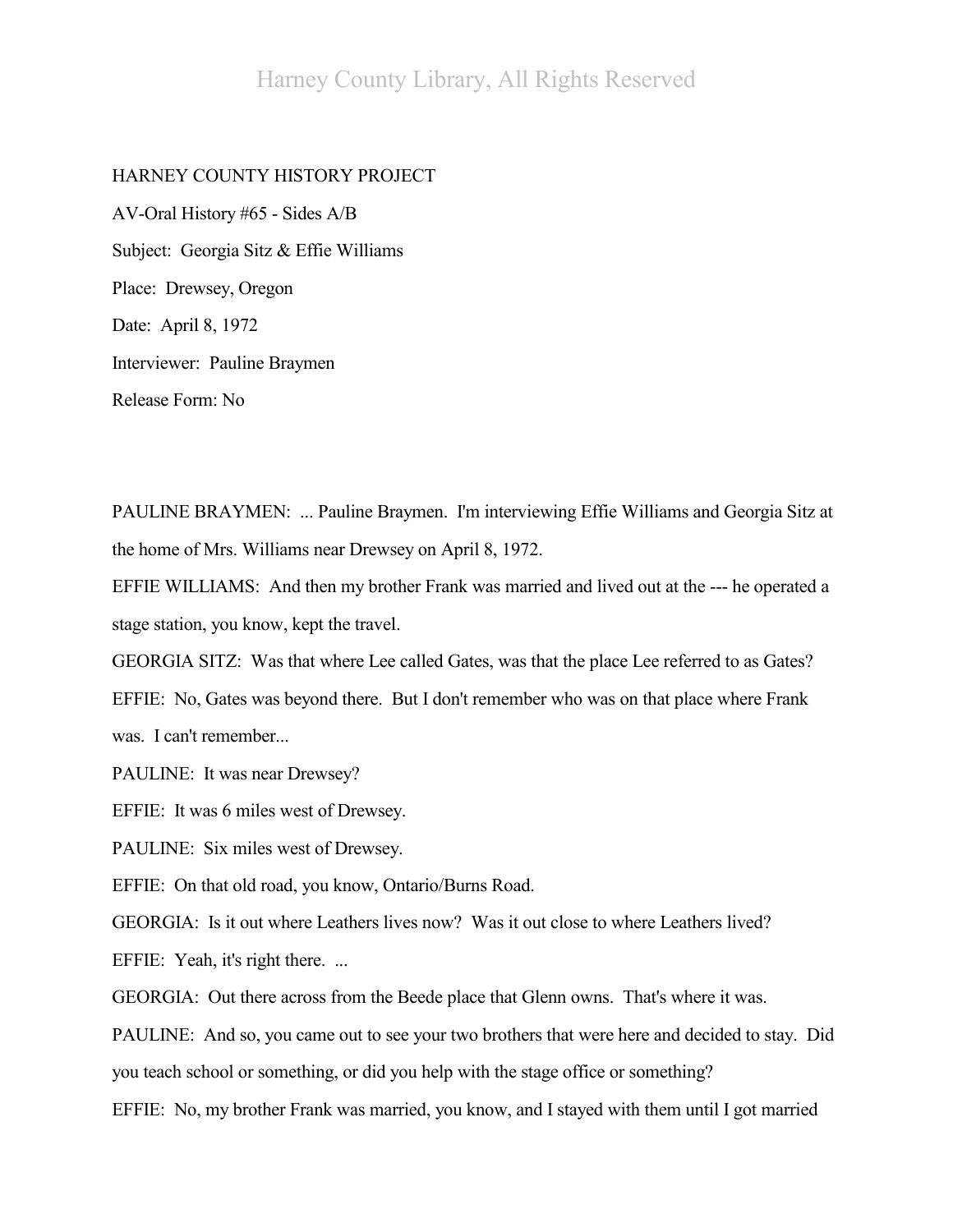## HARNEY COUNTY HISTORY PROJECT

AV-Oral History #65 - Sides A/B Subject: Georgia Sitz & Effie Williams Place: Drewsey, Oregon Date: April 8, 1972 Interviewer: Pauline Braymen Release Form: No

PAULINE BRAYMEN: ... Pauline Braymen. I'm interviewing Effie Williams and Georgia Sitz at the home of Mrs. Williams near Drewsey on April 8, 1972.

EFFIE WILLIAMS: And then my brother Frank was married and lived out at the --- he operated a stage station, you know, kept the travel.

GEORGIA SITZ: Was that where Lee called Gates, was that the place Lee referred to as Gates? EFFIE: No, Gates was beyond there. But I don't remember who was on that place where Frank was. I can't remember...

PAULINE: It was near Drewsey?

EFFIE: It was 6 miles west of Drewsey.

PAULINE: Six miles west of Drewsey.

EFFIE: On that old road, you know, Ontario/Burns Road.

GEORGIA: Is it out where Leathers lives now? Was it out close to where Leathers lived?

EFFIE: Yeah, it's right there. ...

GEORGIA: Out there across from the Beede place that Glenn owns. That's where it was.

PAULINE: And so, you came out to see your two brothers that were here and decided to stay. Did you teach school or something, or did you help with the stage office or something?

EFFIE: No, my brother Frank was married, you know, and I stayed with them until I got married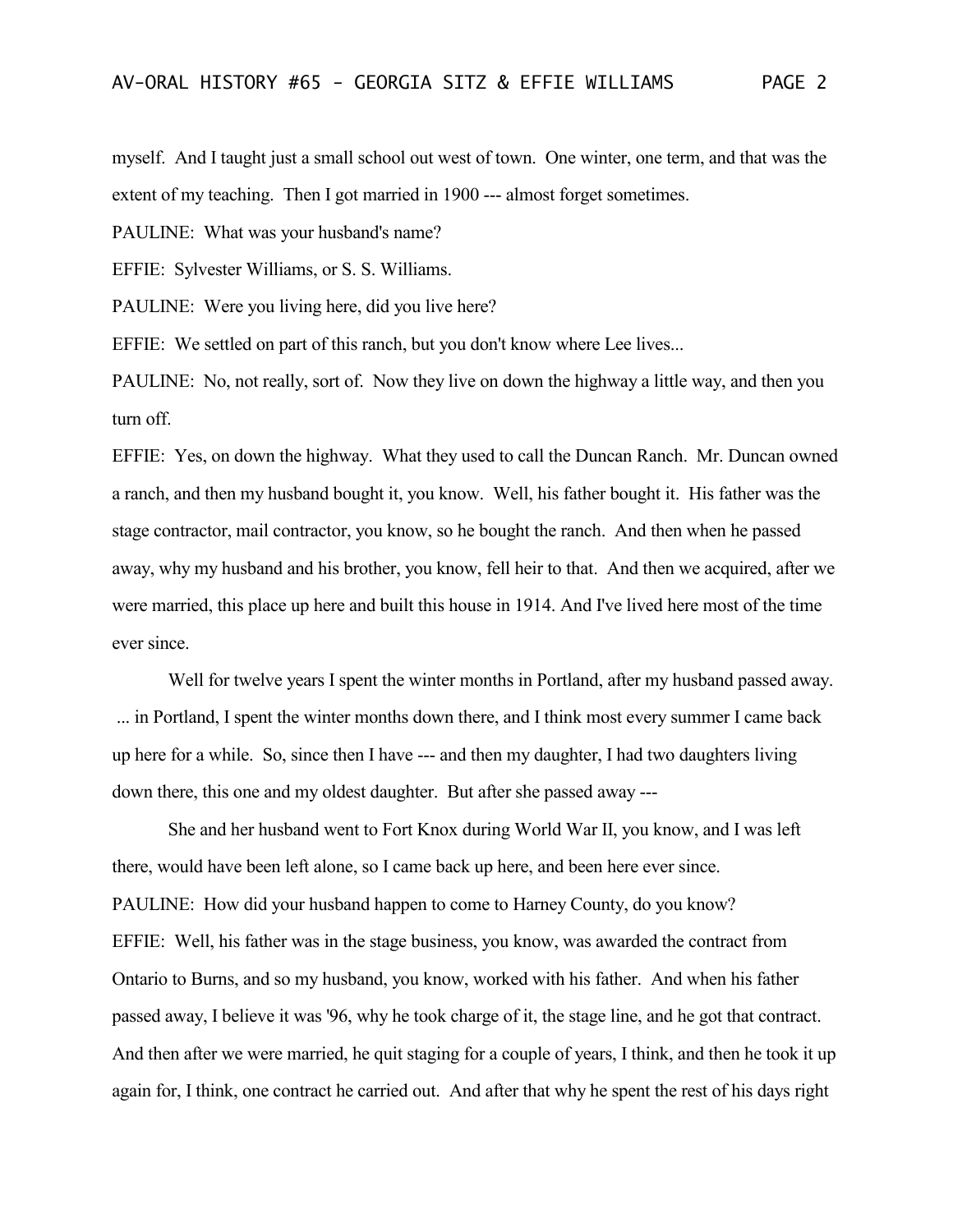myself. And I taught just a small school out west of town. One winter, one term, and that was the extent of my teaching. Then I got married in 1900 --- almost forget sometimes.

PAULINE: What was your husband's name?

EFFIE: Sylvester Williams, or S. S. Williams.

PAULINE: Were you living here, did you live here?

EFFIE: We settled on part of this ranch, but you don't know where Lee lives...

PAULINE: No, not really, sort of. Now they live on down the highway a little way, and then you turn off.

EFFIE: Yes, on down the highway. What they used to call the Duncan Ranch. Mr. Duncan owned a ranch, and then my husband bought it, you know. Well, his father bought it. His father was the stage contractor, mail contractor, you know, so he bought the ranch. And then when he passed away, why my husband and his brother, you know, fell heir to that. And then we acquired, after we were married, this place up here and built this house in 1914. And I've lived here most of the time ever since.

Well for twelve years I spent the winter months in Portland, after my husband passed away. ... in Portland, I spent the winter months down there, and I think most every summer I came back up here for a while. So, since then I have --- and then my daughter, I had two daughters living down there, this one and my oldest daughter. But after she passed away ---

She and her husband went to Fort Knox during World War II, you know, and I was left there, would have been left alone, so I came back up here, and been here ever since. PAULINE: How did your husband happen to come to Harney County, do you know? EFFIE: Well, his father was in the stage business, you know, was awarded the contract from Ontario to Burns, and so my husband, you know, worked with his father. And when his father passed away, I believe it was '96, why he took charge of it, the stage line, and he got that contract. And then after we were married, he quit staging for a couple of years, I think, and then he took it up again for, I think, one contract he carried out. And after that why he spent the rest of his days right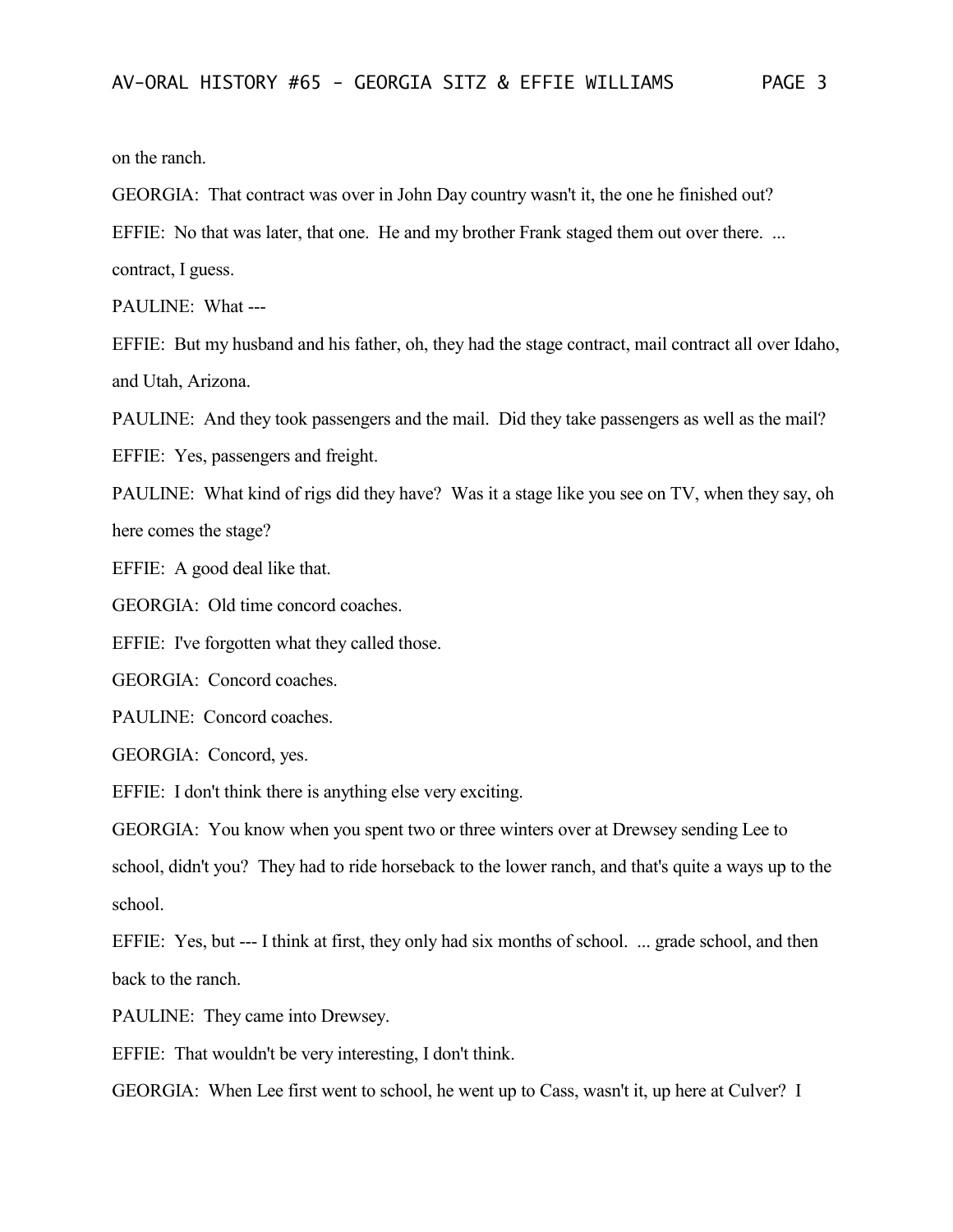on the ranch.

GEORGIA: That contract was over in John Day country wasn't it, the one he finished out?

EFFIE: No that was later, that one. He and my brother Frank staged them out over there. ...

contract, I guess.

PAULINE: What ---

EFFIE: But my husband and his father, oh, they had the stage contract, mail contract all over Idaho, and Utah, Arizona.

PAULINE: And they took passengers and the mail. Did they take passengers as well as the mail?

EFFIE: Yes, passengers and freight.

PAULINE: What kind of rigs did they have? Was it a stage like you see on TV, when they say, oh here comes the stage?

EFFIE: A good deal like that.

GEORGIA: Old time concord coaches.

EFFIE: I've forgotten what they called those.

GEORGIA: Concord coaches.

PAULINE: Concord coaches.

GEORGIA: Concord, yes.

EFFIE: I don't think there is anything else very exciting.

GEORGIA: You know when you spent two or three winters over at Drewsey sending Lee to school, didn't you? They had to ride horseback to the lower ranch, and that's quite a ways up to the school.

EFFIE: Yes, but --- I think at first, they only had six months of school. ... grade school, and then back to the ranch.

PAULINE: They came into Drewsey.

EFFIE: That wouldn't be very interesting, I don't think.

GEORGIA: When Lee first went to school, he went up to Cass, wasn't it, up here at Culver? I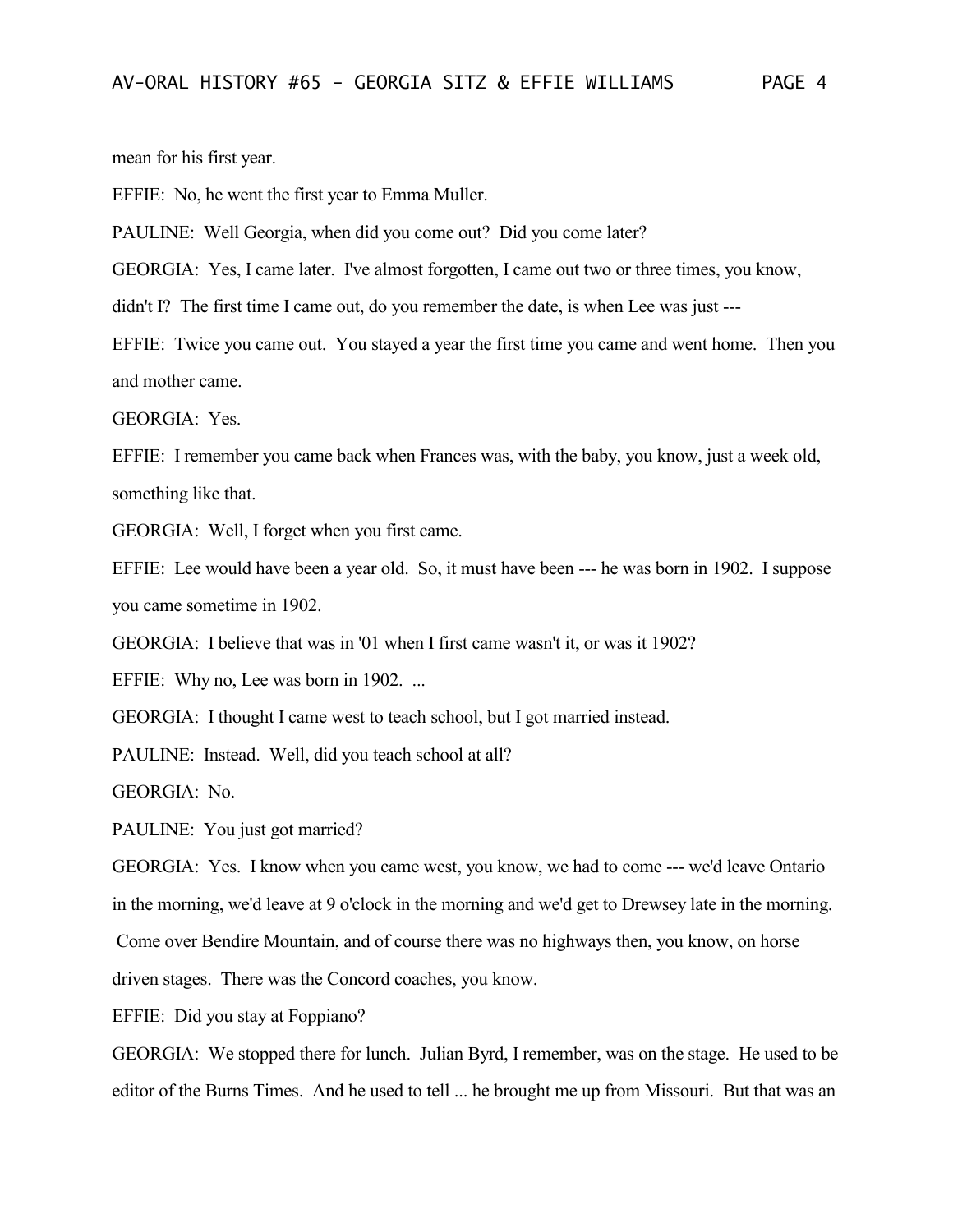mean for his first year.

EFFIE: No, he went the first year to Emma Muller.

PAULINE: Well Georgia, when did you come out? Did you come later?

GEORGIA: Yes, I came later. I've almost forgotten, I came out two or three times, you know,

didn't I? The first time I came out, do you remember the date, is when Lee was just ---

EFFIE: Twice you came out. You stayed a year the first time you came and went home. Then you and mother came.

GEORGIA: Yes.

EFFIE: I remember you came back when Frances was, with the baby, you know, just a week old, something like that.

GEORGIA: Well, I forget when you first came.

EFFIE: Lee would have been a year old. So, it must have been --- he was born in 1902. I suppose you came sometime in 1902.

GEORGIA: I believe that was in '01 when I first came wasn't it, or was it 1902?

EFFIE: Why no, Lee was born in 1902. ...

GEORGIA: I thought I came west to teach school, but I got married instead.

PAULINE: Instead. Well, did you teach school at all?

GEORGIA: No.

PAULINE: You just got married?

GEORGIA: Yes. I know when you came west, you know, we had to come --- we'd leave Ontario in the morning, we'd leave at 9 o'clock in the morning and we'd get to Drewsey late in the morning.

Come over Bendire Mountain, and of course there was no highways then, you know, on horse

driven stages. There was the Concord coaches, you know.

EFFIE: Did you stay at Foppiano?

GEORGIA: We stopped there for lunch. Julian Byrd, I remember, was on the stage. He used to be editor of the Burns Times. And he used to tell ... he brought me up from Missouri. But that was an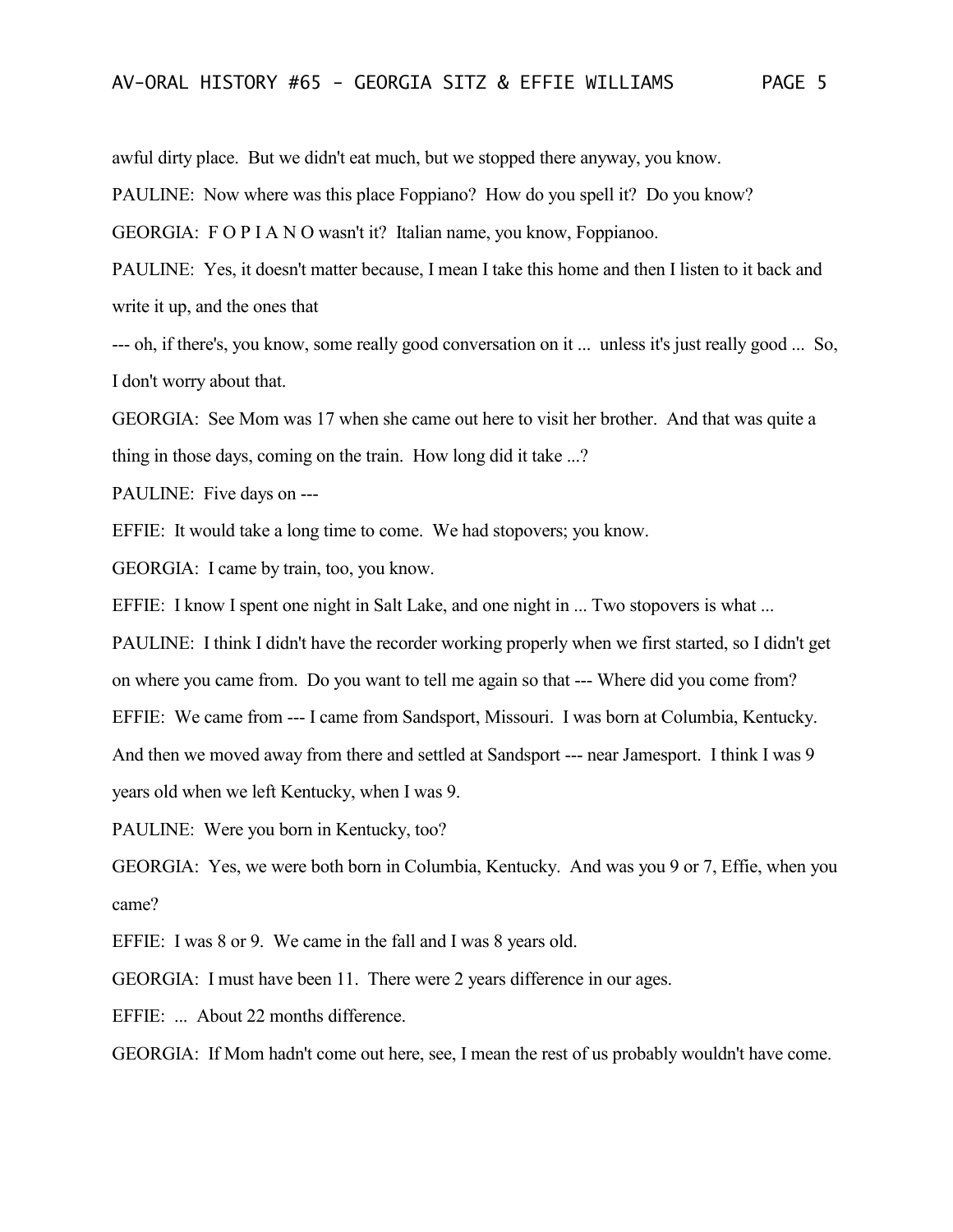awful dirty place. But we didn't eat much, but we stopped there anyway, you know.

PAULINE: Now where was this place Foppiano? How do you spell it? Do you know?

GEORGIA: F O P I A N O wasn't it? Italian name, you know, Foppianoo.

PAULINE: Yes, it doesn't matter because, I mean I take this home and then I listen to it back and write it up, and the ones that

--- oh, if there's, you know, some really good conversation on it ... unless it's just really good ... So, I don't worry about that.

GEORGIA: See Mom was 17 when she came out here to visit her brother. And that was quite a thing in those days, coming on the train. How long did it take ...?

PAULINE: Five days on ---

EFFIE: It would take a long time to come. We had stopovers; you know.

GEORGIA: I came by train, too, you know.

EFFIE: I know I spent one night in Salt Lake, and one night in ... Two stopovers is what ...

PAULINE: I think I didn't have the recorder working properly when we first started, so I didn't get

on where you came from. Do you want to tell me again so that --- Where did you come from?

EFFIE: We came from --- I came from Sandsport, Missouri. I was born at Columbia, Kentucky.

And then we moved away from there and settled at Sandsport --- near Jamesport. I think I was 9

years old when we left Kentucky, when I was 9.

PAULINE: Were you born in Kentucky, too?

GEORGIA: Yes, we were both born in Columbia, Kentucky. And was you 9 or 7, Effie, when you came?

EFFIE: I was 8 or 9. We came in the fall and I was 8 years old.

GEORGIA: I must have been 11. There were 2 years difference in our ages.

EFFIE: ... About 22 months difference.

GEORGIA: If Mom hadn't come out here, see, I mean the rest of us probably wouldn't have come.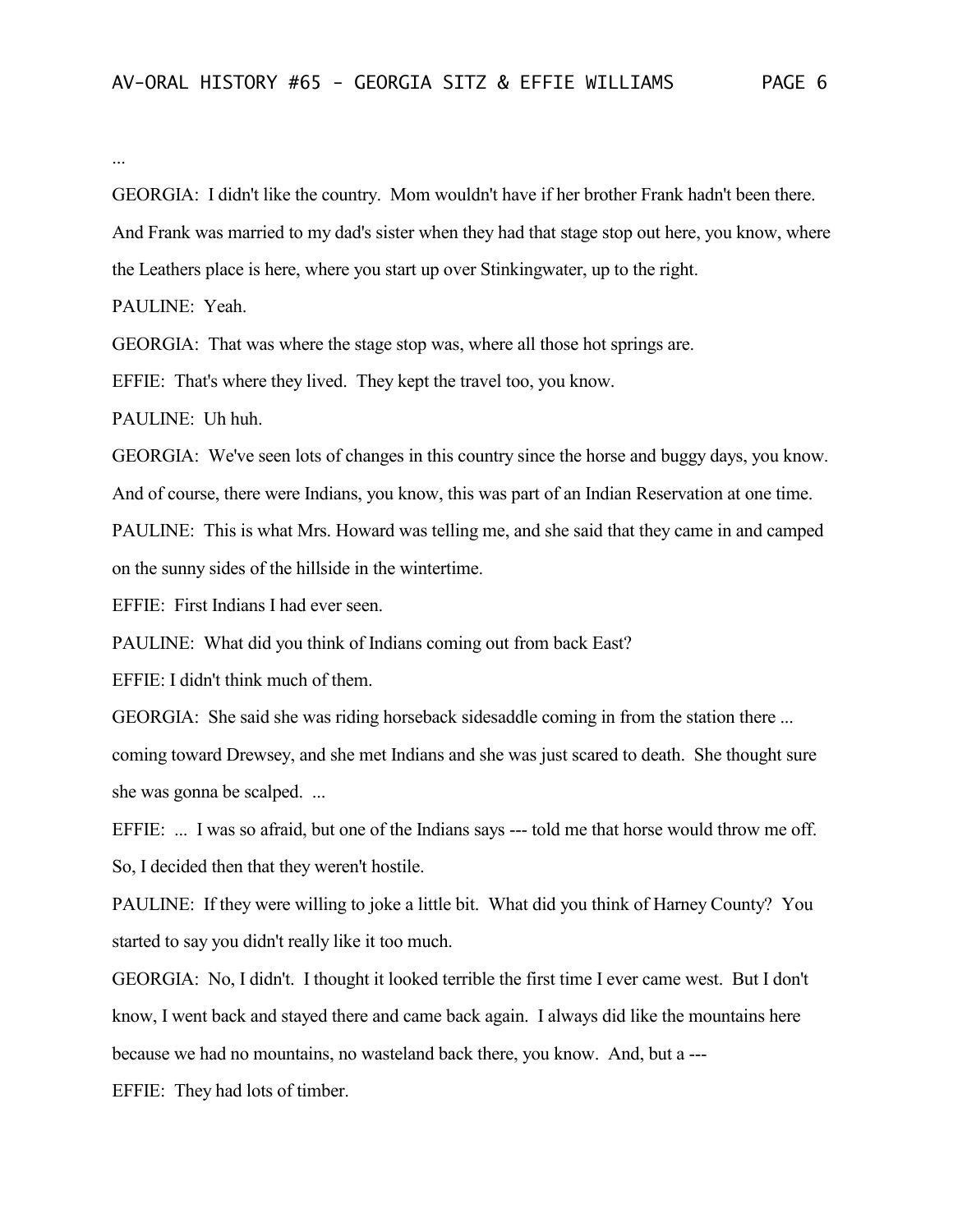...

GEORGIA: I didn't like the country. Mom wouldn't have if her brother Frank hadn't been there.

And Frank was married to my dad's sister when they had that stage stop out here, you know, where

the Leathers place is here, where you start up over Stinkingwater, up to the right.

PAULINE: Yeah.

GEORGIA: That was where the stage stop was, where all those hot springs are.

EFFIE: That's where they lived. They kept the travel too, you know.

PAULINE: Uh huh.

GEORGIA: We've seen lots of changes in this country since the horse and buggy days, you know. And of course, there were Indians, you know, this was part of an Indian Reservation at one time.

PAULINE: This is what Mrs. Howard was telling me, and she said that they came in and camped on the sunny sides of the hillside in the wintertime.

EFFIE: First Indians I had ever seen.

PAULINE: What did you think of Indians coming out from back East?

EFFIE: I didn't think much of them.

GEORGIA: She said she was riding horseback sidesaddle coming in from the station there ... coming toward Drewsey, and she met Indians and she was just scared to death. She thought sure she was gonna be scalped. ...

EFFIE: ... I was so afraid, but one of the Indians says --- told me that horse would throw me off. So, I decided then that they weren't hostile.

PAULINE: If they were willing to joke a little bit. What did you think of Harney County? You started to say you didn't really like it too much.

GEORGIA: No, I didn't. I thought it looked terrible the first time I ever came west. But I don't know, I went back and stayed there and came back again. I always did like the mountains here

because we had no mountains, no wasteland back there, you know. And, but a ---

EFFIE: They had lots of timber.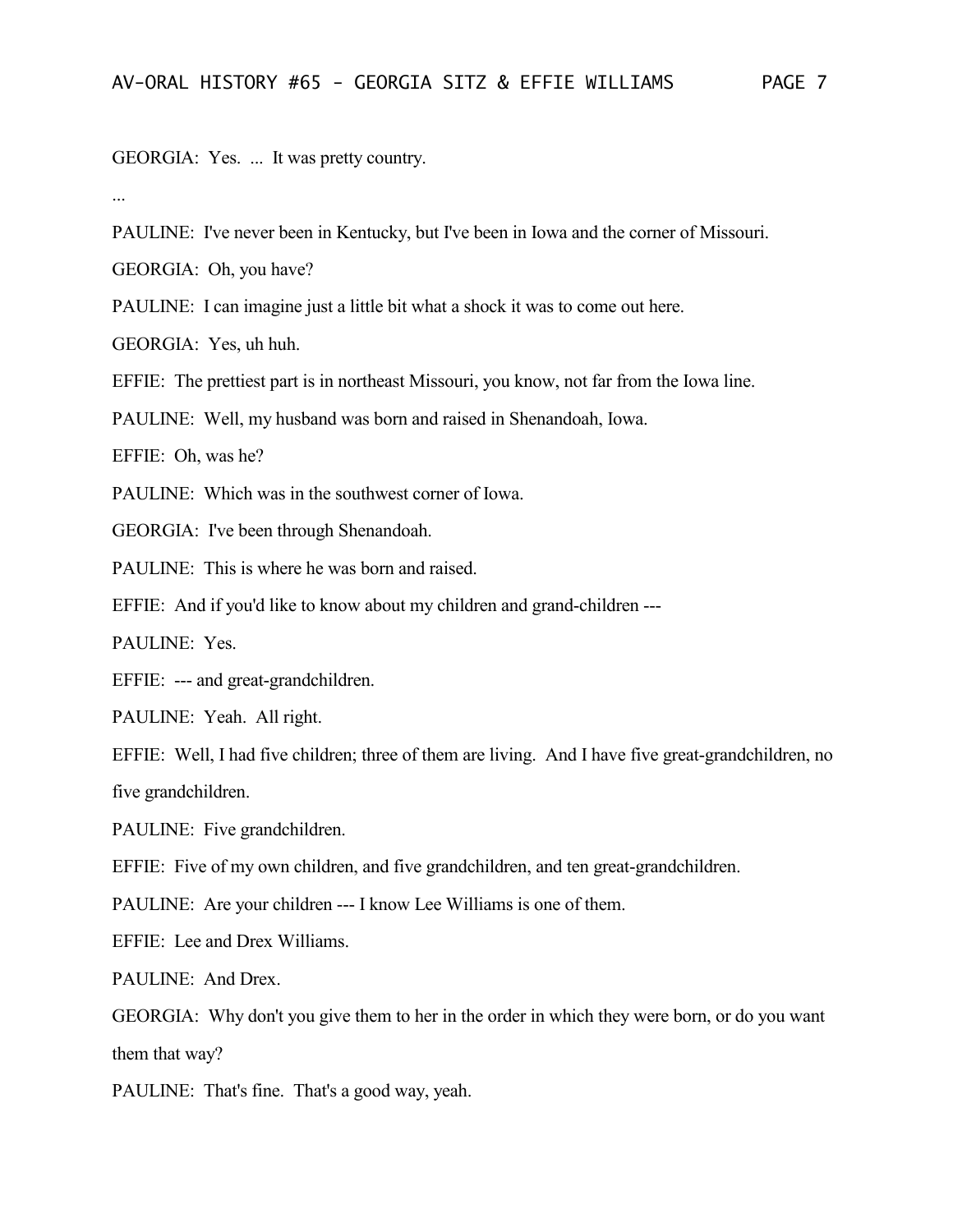GEORGIA: Yes. ... It was pretty country.

...

PAULINE: I've never been in Kentucky, but I've been in Iowa and the corner of Missouri.

GEORGIA: Oh, you have?

PAULINE: I can imagine just a little bit what a shock it was to come out here.

GEORGIA: Yes, uh huh.

EFFIE: The prettiest part is in northeast Missouri, you know, not far from the Iowa line.

PAULINE: Well, my husband was born and raised in Shenandoah, Iowa.

EFFIE: Oh, was he?

PAULINE: Which was in the southwest corner of Iowa.

GEORGIA: I've been through Shenandoah.

PAULINE: This is where he was born and raised.

EFFIE: And if you'd like to know about my children and grand-children ---

PAULINE: Yes.

EFFIE: --- and great-grandchildren.

PAULINE: Yeah. All right.

EFFIE: Well, I had five children; three of them are living. And I have five great-grandchildren, no five grandchildren.

PAULINE: Five grandchildren.

EFFIE: Five of my own children, and five grandchildren, and ten great-grandchildren.

PAULINE: Are your children --- I know Lee Williams is one of them.

EFFIE: Lee and Drex Williams.

PAULINE: And Drex.

GEORGIA: Why don't you give them to her in the order in which they were born, or do you want them that way?

PAULINE: That's fine. That's a good way, yeah.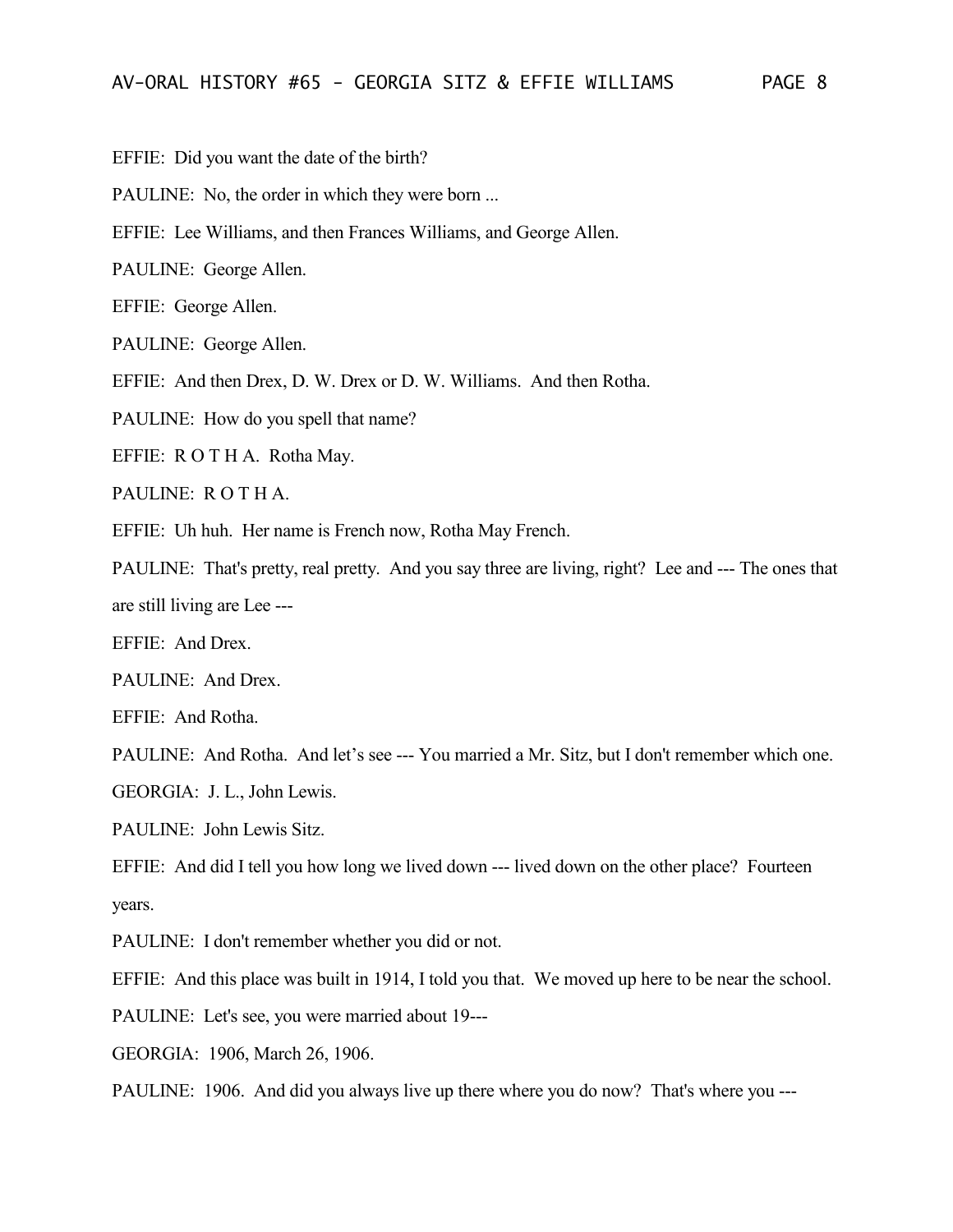EFFIE: Did you want the date of the birth?

PAULINE: No, the order in which they were born ...

EFFIE: Lee Williams, and then Frances Williams, and George Allen.

PAULINE: George Allen.

EFFIE: George Allen.

PAULINE: George Allen.

EFFIE: And then Drex, D. W. Drex or D. W. Williams. And then Rotha.

PAULINE: How do you spell that name?

EFFIE: R O T H A. Rotha May.

PAULINE: R O T H A.

EFFIE: Uh huh. Her name is French now, Rotha May French.

PAULINE: That's pretty, real pretty. And you say three are living, right? Lee and --- The ones that are still living are Lee ---

EFFIE: And Drex.

PAULINE: And Drex.

EFFIE: And Rotha.

PAULINE: And Rotha. And let's see --- You married a Mr. Sitz, but I don't remember which one.

GEORGIA: J. L., John Lewis.

PAULINE: John Lewis Sitz.

EFFIE: And did I tell you how long we lived down --- lived down on the other place? Fourteen years.

PAULINE: I don't remember whether you did or not.

EFFIE: And this place was built in 1914, I told you that. We moved up here to be near the school.

PAULINE: Let's see, you were married about 19---

GEORGIA: 1906, March 26, 1906.

PAULINE: 1906. And did you always live up there where you do now? That's where you ---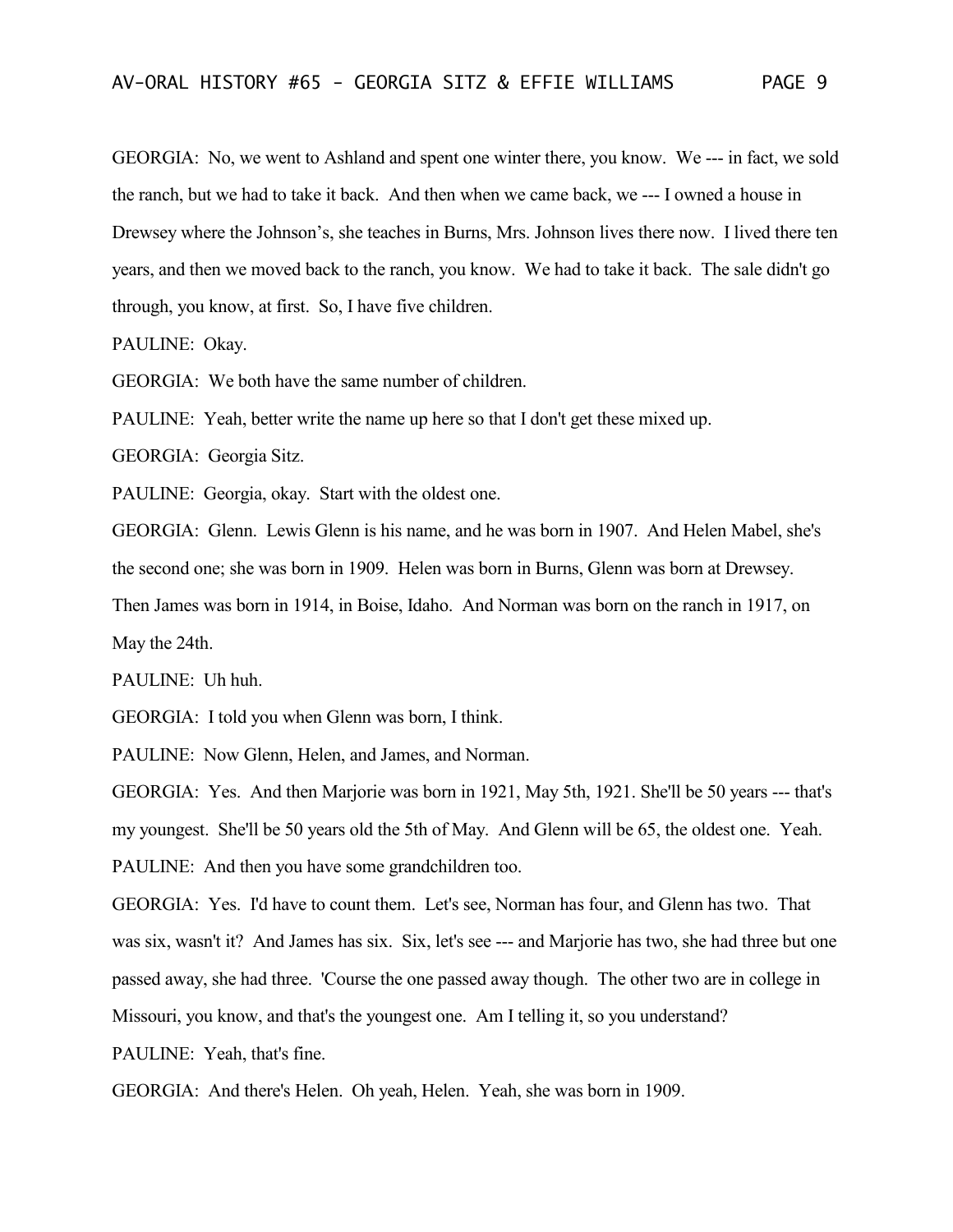GEORGIA: No, we went to Ashland and spent one winter there, you know. We --- in fact, we sold the ranch, but we had to take it back. And then when we came back, we --- I owned a house in Drewsey where the Johnson's, she teaches in Burns, Mrs. Johnson lives there now. I lived there ten years, and then we moved back to the ranch, you know. We had to take it back. The sale didn't go through, you know, at first. So, I have five children.

PAULINE: Okay.

GEORGIA: We both have the same number of children.

PAULINE: Yeah, better write the name up here so that I don't get these mixed up.

GEORGIA: Georgia Sitz.

PAULINE: Georgia, okay. Start with the oldest one.

GEORGIA: Glenn. Lewis Glenn is his name, and he was born in 1907. And Helen Mabel, she's the second one; she was born in 1909. Helen was born in Burns, Glenn was born at Drewsey.

Then James was born in 1914, in Boise, Idaho. And Norman was born on the ranch in 1917, on May the 24th.

PAULINE: Uh huh.

GEORGIA: I told you when Glenn was born, I think.

PAULINE: Now Glenn, Helen, and James, and Norman.

GEORGIA: Yes. And then Marjorie was born in 1921, May 5th, 1921. She'll be 50 years --- that's my youngest. She'll be 50 years old the 5th of May. And Glenn will be 65, the oldest one. Yeah. PAULINE: And then you have some grandchildren too.

GEORGIA: Yes. I'd have to count them. Let's see, Norman has four, and Glenn has two. That was six, wasn't it? And James has six. Six, let's see --- and Marjorie has two, she had three but one passed away, she had three. 'Course the one passed away though. The other two are in college in Missouri, you know, and that's the youngest one. Am I telling it, so you understand?

PAULINE: Yeah, that's fine.

GEORGIA: And there's Helen. Oh yeah, Helen. Yeah, she was born in 1909.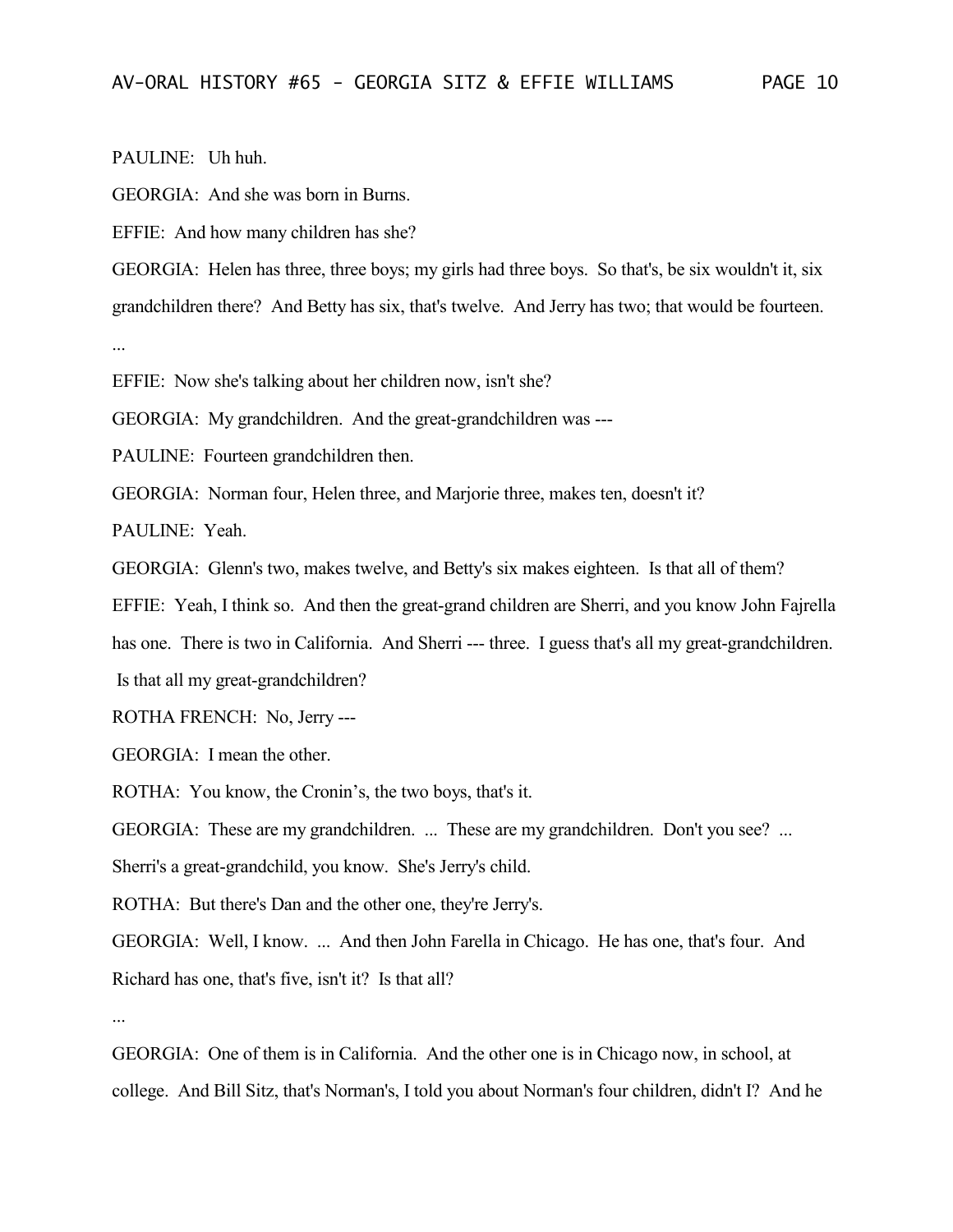PAULINE: Uh huh.

GEORGIA: And she was born in Burns.

EFFIE: And how many children has she?

GEORGIA: Helen has three, three boys; my girls had three boys. So that's, be six wouldn't it, six grandchildren there? And Betty has six, that's twelve. And Jerry has two; that would be fourteen. ...

EFFIE: Now she's talking about her children now, isn't she?

GEORGIA: My grandchildren. And the great-grandchildren was ---

PAULINE: Fourteen grandchildren then.

GEORGIA: Norman four, Helen three, and Marjorie three, makes ten, doesn't it?

PAULINE: Yeah.

GEORGIA: Glenn's two, makes twelve, and Betty's six makes eighteen. Is that all of them?

EFFIE: Yeah, I think so. And then the great-grand children are Sherri, and you know John Fajrella

has one. There is two in California. And Sherri --- three. I guess that's all my great-grandchildren.

Is that all my great-grandchildren?

ROTHA FRENCH: No, Jerry ---

GEORGIA: I mean the other.

ROTHA: You know, the Cronin's, the two boys, that's it.

GEORGIA: These are my grandchildren. ... These are my grandchildren. Don't you see? ...

Sherri's a great-grandchild, you know. She's Jerry's child.

ROTHA: But there's Dan and the other one, they're Jerry's.

GEORGIA: Well, I know. ... And then John Farella in Chicago. He has one, that's four. And Richard has one, that's five, isn't it? Is that all?

...

GEORGIA: One of them is in California. And the other one is in Chicago now, in school, at college. And Bill Sitz, that's Norman's, I told you about Norman's four children, didn't I? And he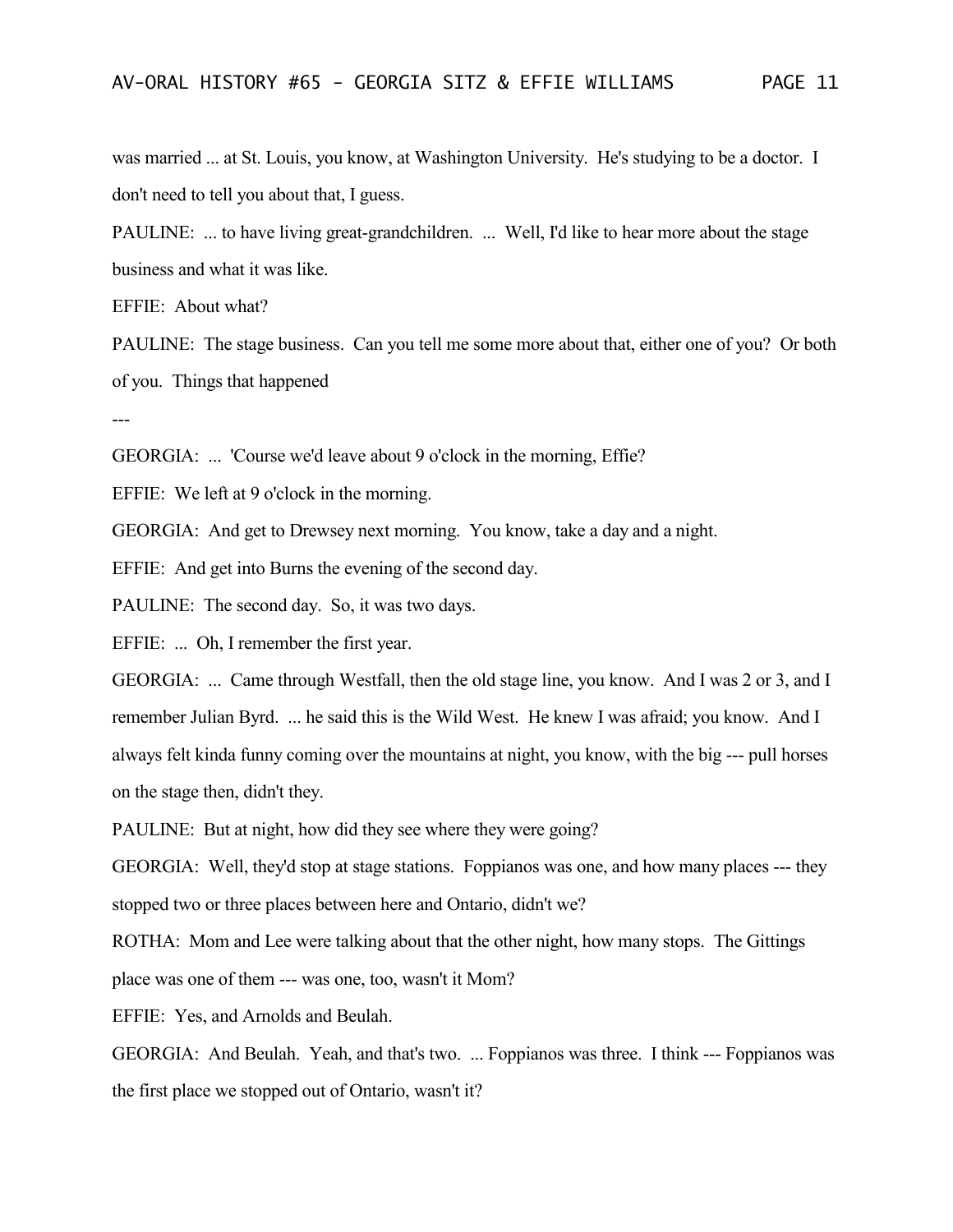was married ... at St. Louis, you know, at Washington University. He's studying to be a doctor. I don't need to tell you about that, I guess.

PAULINE: ... to have living great-grandchildren. ... Well, I'd like to hear more about the stage business and what it was like.

EFFIE: About what?

PAULINE: The stage business. Can you tell me some more about that, either one of you? Or both of you. Things that happened

---

GEORGIA: ... 'Course we'd leave about 9 o'clock in the morning, Effie?

EFFIE: We left at 9 o'clock in the morning.

GEORGIA: And get to Drewsey next morning. You know, take a day and a night.

EFFIE: And get into Burns the evening of the second day.

PAULINE: The second day. So, it was two days.

EFFIE: ... Oh, I remember the first year.

GEORGIA: ... Came through Westfall, then the old stage line, you know. And I was 2 or 3, and I remember Julian Byrd. ... he said this is the Wild West. He knew I was afraid; you know. And I always felt kinda funny coming over the mountains at night, you know, with the big --- pull horses on the stage then, didn't they.

PAULINE: But at night, how did they see where they were going?

GEORGIA: Well, they'd stop at stage stations. Foppianos was one, and how many places --- they stopped two or three places between here and Ontario, didn't we?

ROTHA: Mom and Lee were talking about that the other night, how many stops. The Gittings

place was one of them --- was one, too, wasn't it Mom?

EFFIE: Yes, and Arnolds and Beulah.

GEORGIA: And Beulah. Yeah, and that's two. ... Foppianos was three. I think --- Foppianos was the first place we stopped out of Ontario, wasn't it?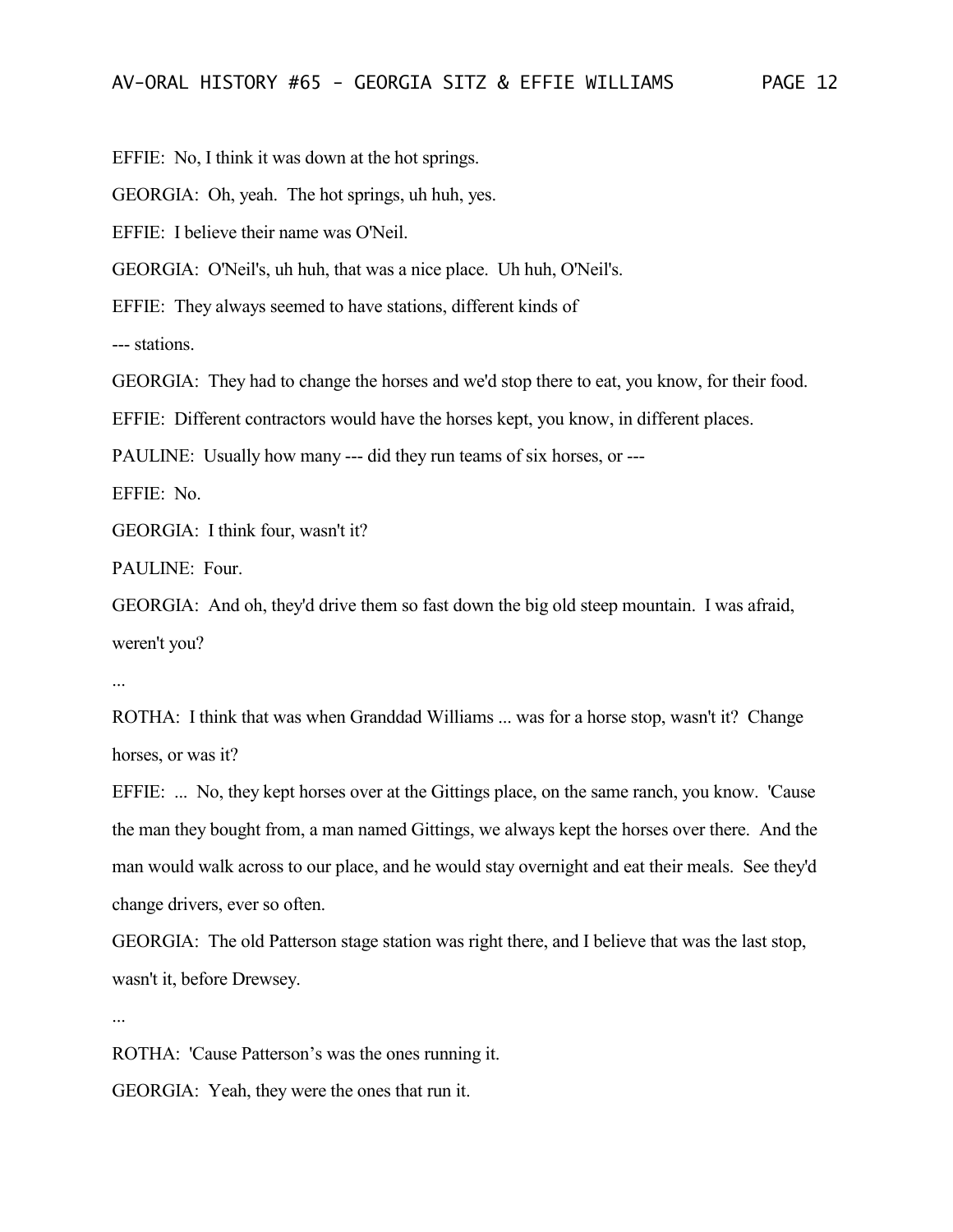EFFIE: No, I think it was down at the hot springs.

GEORGIA: Oh, yeah. The hot springs, uh huh, yes.

EFFIE: I believe their name was O'Neil.

GEORGIA: O'Neil's, uh huh, that was a nice place. Uh huh, O'Neil's.

EFFIE: They always seemed to have stations, different kinds of

--- stations.

GEORGIA: They had to change the horses and we'd stop there to eat, you know, for their food.

EFFIE: Different contractors would have the horses kept, you know, in different places.

PAULINE: Usually how many --- did they run teams of six horses, or ---

EFFIE: No.

GEORGIA: I think four, wasn't it?

PAULINE: Four.

GEORGIA: And oh, they'd drive them so fast down the big old steep mountain. I was afraid, weren't you?

...

ROTHA: I think that was when Granddad Williams ... was for a horse stop, wasn't it? Change horses, or was it?

EFFIE: ... No, they kept horses over at the Gittings place, on the same ranch, you know. 'Cause the man they bought from, a man named Gittings, we always kept the horses over there. And the man would walk across to our place, and he would stay overnight and eat their meals. See they'd change drivers, ever so often.

GEORGIA: The old Patterson stage station was right there, and I believe that was the last stop, wasn't it, before Drewsey.

...

ROTHA: 'Cause Patterson's was the ones running it.

GEORGIA: Yeah, they were the ones that run it.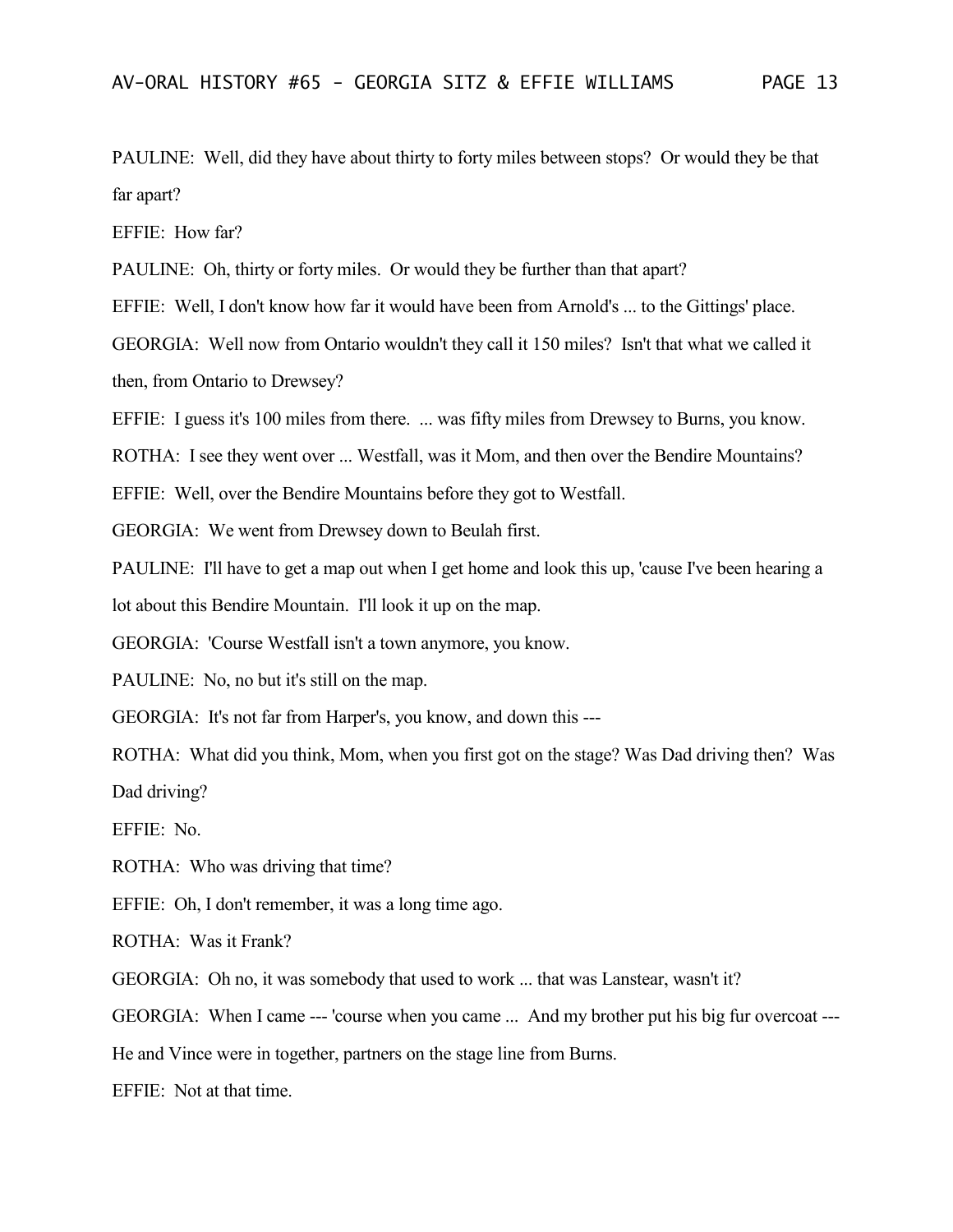PAULINE: Well, did they have about thirty to forty miles between stops? Or would they be that far apart?

EFFIE: How far?

PAULINE: Oh, thirty or forty miles. Or would they be further than that apart?

EFFIE: Well, I don't know how far it would have been from Arnold's ... to the Gittings' place.

GEORGIA: Well now from Ontario wouldn't they call it 150 miles? Isn't that what we called it then, from Ontario to Drewsey?

EFFIE: I guess it's 100 miles from there. ... was fifty miles from Drewsey to Burns, you know.

ROTHA: I see they went over ... Westfall, was it Mom, and then over the Bendire Mountains?

EFFIE: Well, over the Bendire Mountains before they got to Westfall.

GEORGIA: We went from Drewsey down to Beulah first.

PAULINE: I'll have to get a map out when I get home and look this up, 'cause I've been hearing a lot about this Bendire Mountain. I'll look it up on the map.

GEORGIA: 'Course Westfall isn't a town anymore, you know.

PAULINE: No, no but it's still on the map.

GEORGIA: It's not far from Harper's, you know, and down this ---

ROTHA: What did you think, Mom, when you first got on the stage? Was Dad driving then? Was Dad driving?

EFFIE: No.

ROTHA: Who was driving that time?

EFFIE: Oh, I don't remember, it was a long time ago.

ROTHA: Was it Frank?

GEORGIA: Oh no, it was somebody that used to work ... that was Lanstear, wasn't it?

GEORGIA: When I came --- 'course when you came ... And my brother put his big fur overcoat ---

He and Vince were in together, partners on the stage line from Burns.

EFFIE: Not at that time.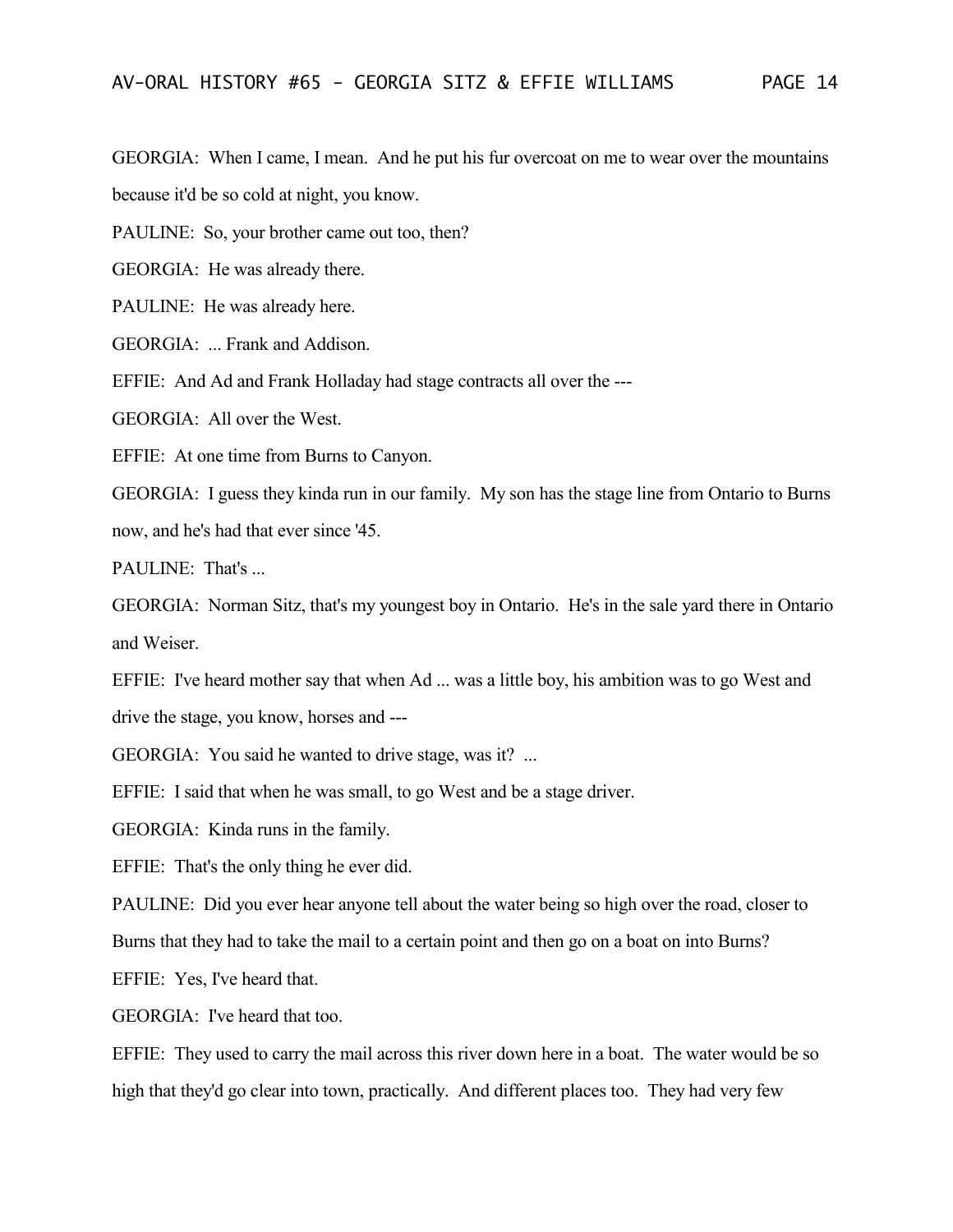GEORGIA: When I came, I mean. And he put his fur overcoat on me to wear over the mountains because it'd be so cold at night, you know.

PAULINE: So, your brother came out too, then?

GEORGIA: He was already there.

PAULINE: He was already here.

GEORGIA: ... Frank and Addison.

EFFIE: And Ad and Frank Holladay had stage contracts all over the ---

GEORGIA: All over the West.

EFFIE: At one time from Burns to Canyon.

GEORGIA: I guess they kinda run in our family. My son has the stage line from Ontario to Burns now, and he's had that ever since '45.

PAULINE: That's ...

GEORGIA: Norman Sitz, that's my youngest boy in Ontario. He's in the sale yard there in Ontario and Weiser.

EFFIE: I've heard mother say that when Ad ... was a little boy, his ambition was to go West and drive the stage, you know, horses and ---

GEORGIA: You said he wanted to drive stage, was it? ...

EFFIE: I said that when he was small, to go West and be a stage driver.

GEORGIA: Kinda runs in the family.

EFFIE: That's the only thing he ever did.

PAULINE: Did you ever hear anyone tell about the water being so high over the road, closer to

Burns that they had to take the mail to a certain point and then go on a boat on into Burns?

EFFIE: Yes, I've heard that.

GEORGIA: I've heard that too.

EFFIE: They used to carry the mail across this river down here in a boat. The water would be so high that they'd go clear into town, practically. And different places too. They had very few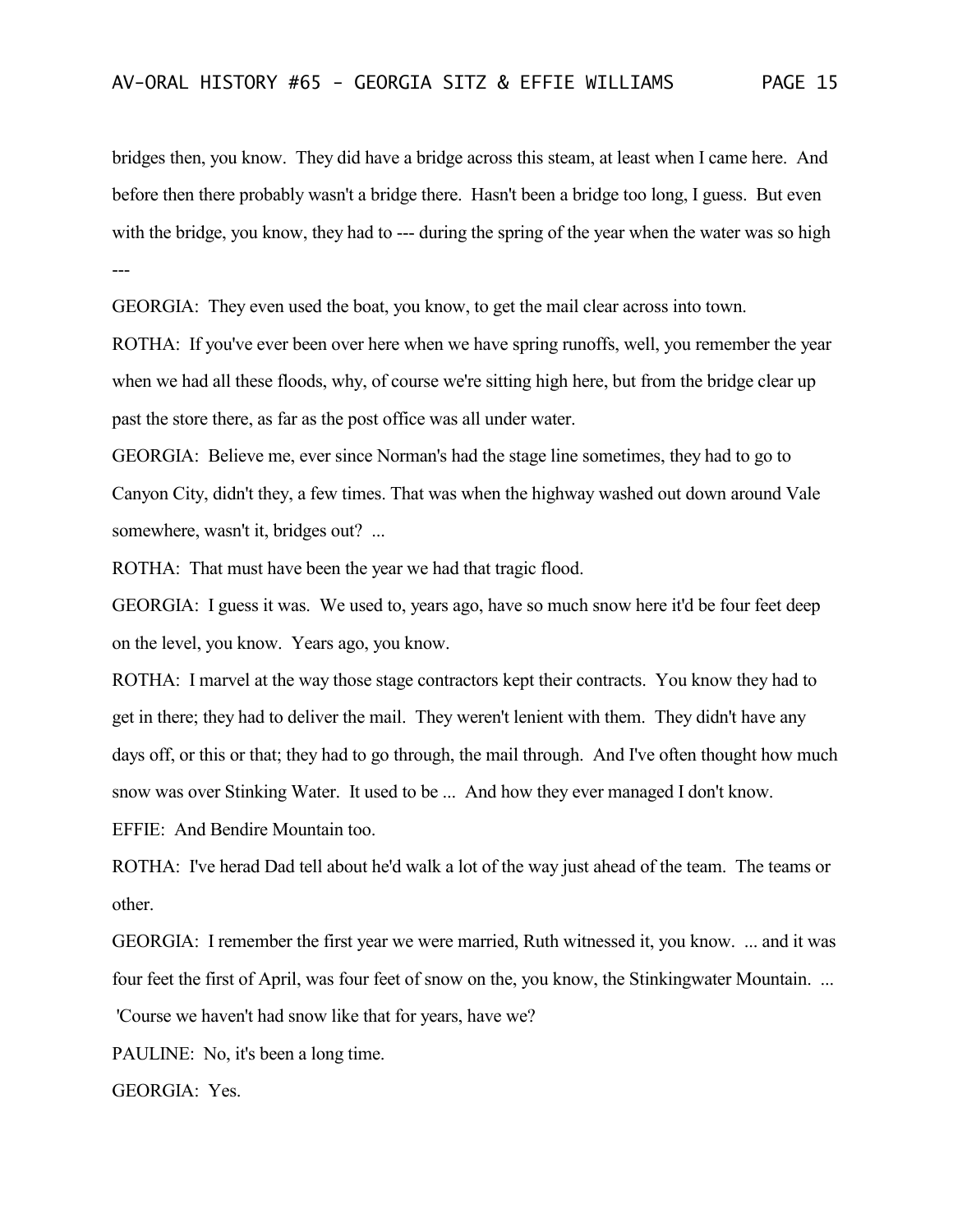bridges then, you know. They did have a bridge across this steam, at least when I came here. And before then there probably wasn't a bridge there. Hasn't been a bridge too long, I guess. But even with the bridge, you know, they had to --- during the spring of the year when the water was so high ---

GEORGIA: They even used the boat, you know, to get the mail clear across into town.

ROTHA: If you've ever been over here when we have spring runoffs, well, you remember the year when we had all these floods, why, of course we're sitting high here, but from the bridge clear up past the store there, as far as the post office was all under water.

GEORGIA: Believe me, ever since Norman's had the stage line sometimes, they had to go to Canyon City, didn't they, a few times. That was when the highway washed out down around Vale somewhere, wasn't it, bridges out? ...

ROTHA: That must have been the year we had that tragic flood.

GEORGIA: I guess it was. We used to, years ago, have so much snow here it'd be four feet deep on the level, you know. Years ago, you know.

ROTHA: I marvel at the way those stage contractors kept their contracts. You know they had to get in there; they had to deliver the mail. They weren't lenient with them. They didn't have any days off, or this or that; they had to go through, the mail through. And I've often thought how much snow was over Stinking Water. It used to be ... And how they ever managed I don't know.

EFFIE: And Bendire Mountain too.

ROTHA: I've herad Dad tell about he'd walk a lot of the way just ahead of the team. The teams or other.

GEORGIA: I remember the first year we were married, Ruth witnessed it, you know. ... and it was four feet the first of April, was four feet of snow on the, you know, the Stinkingwater Mountain. ...

'Course we haven't had snow like that for years, have we?

PAULINE: No, it's been a long time.

GEORGIA: Yes.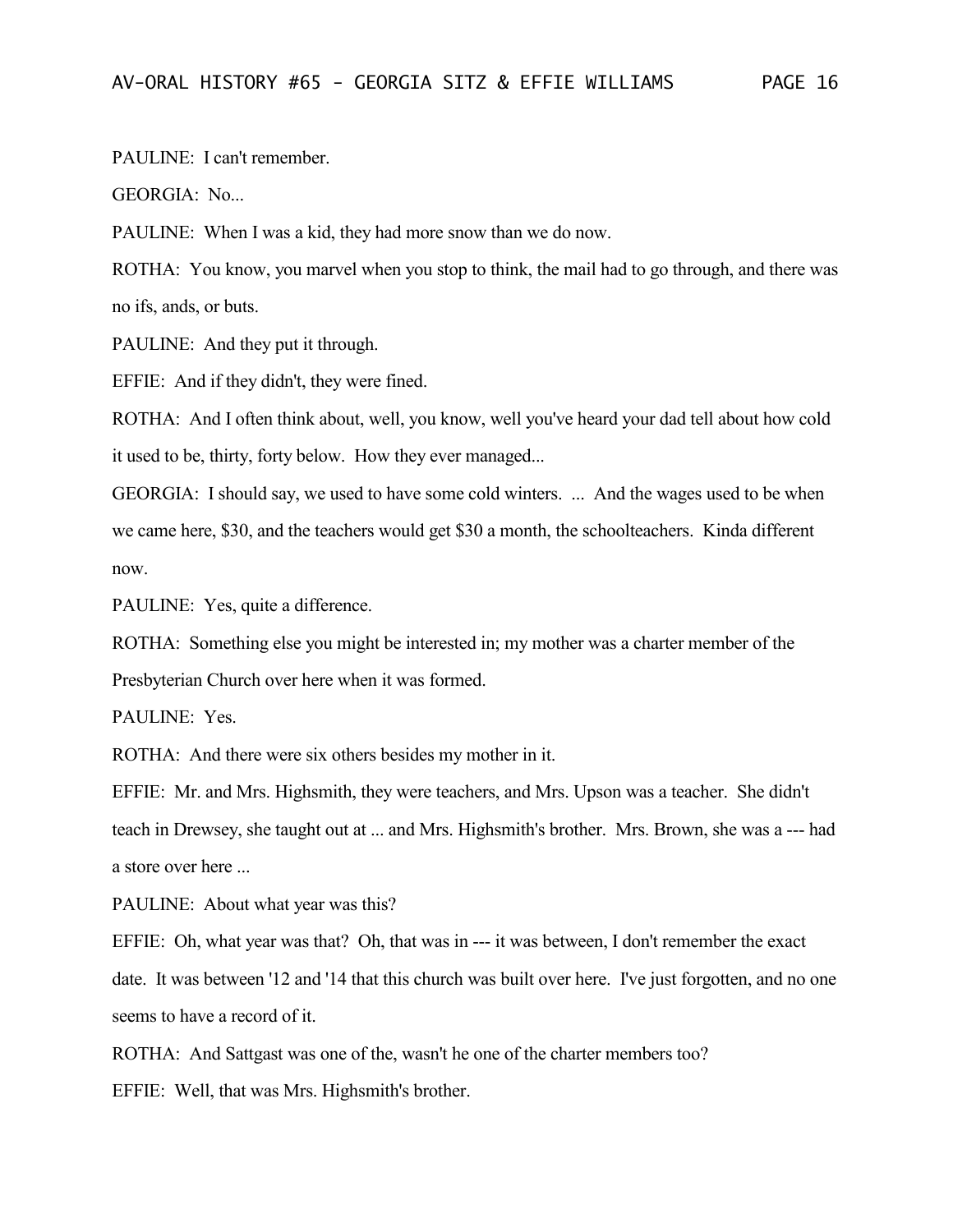PAULINE: I can't remember.

GEORGIA: No...

PAULINE: When I was a kid, they had more snow than we do now.

ROTHA: You know, you marvel when you stop to think, the mail had to go through, and there was no ifs, ands, or buts.

PAULINE: And they put it through.

EFFIE: And if they didn't, they were fined.

ROTHA: And I often think about, well, you know, well you've heard your dad tell about how cold it used to be, thirty, forty below. How they ever managed...

GEORGIA: I should say, we used to have some cold winters. ... And the wages used to be when we came here, \$30, and the teachers would get \$30 a month, the schoolteachers. Kinda different now.

PAULINE: Yes, quite a difference.

ROTHA: Something else you might be interested in; my mother was a charter member of the Presbyterian Church over here when it was formed.

PAULINE: Yes.

ROTHA: And there were six others besides my mother in it.

EFFIE: Mr. and Mrs. Highsmith, they were teachers, and Mrs. Upson was a teacher. She didn't teach in Drewsey, she taught out at ... and Mrs. Highsmith's brother. Mrs. Brown, she was a --- had a store over here ...

PAULINE: About what year was this?

EFFIE: Oh, what year was that? Oh, that was in --- it was between, I don't remember the exact date. It was between '12 and '14 that this church was built over here. I've just forgotten, and no one seems to have a record of it.

ROTHA: And Sattgast was one of the, wasn't he one of the charter members too?

EFFIE: Well, that was Mrs. Highsmith's brother.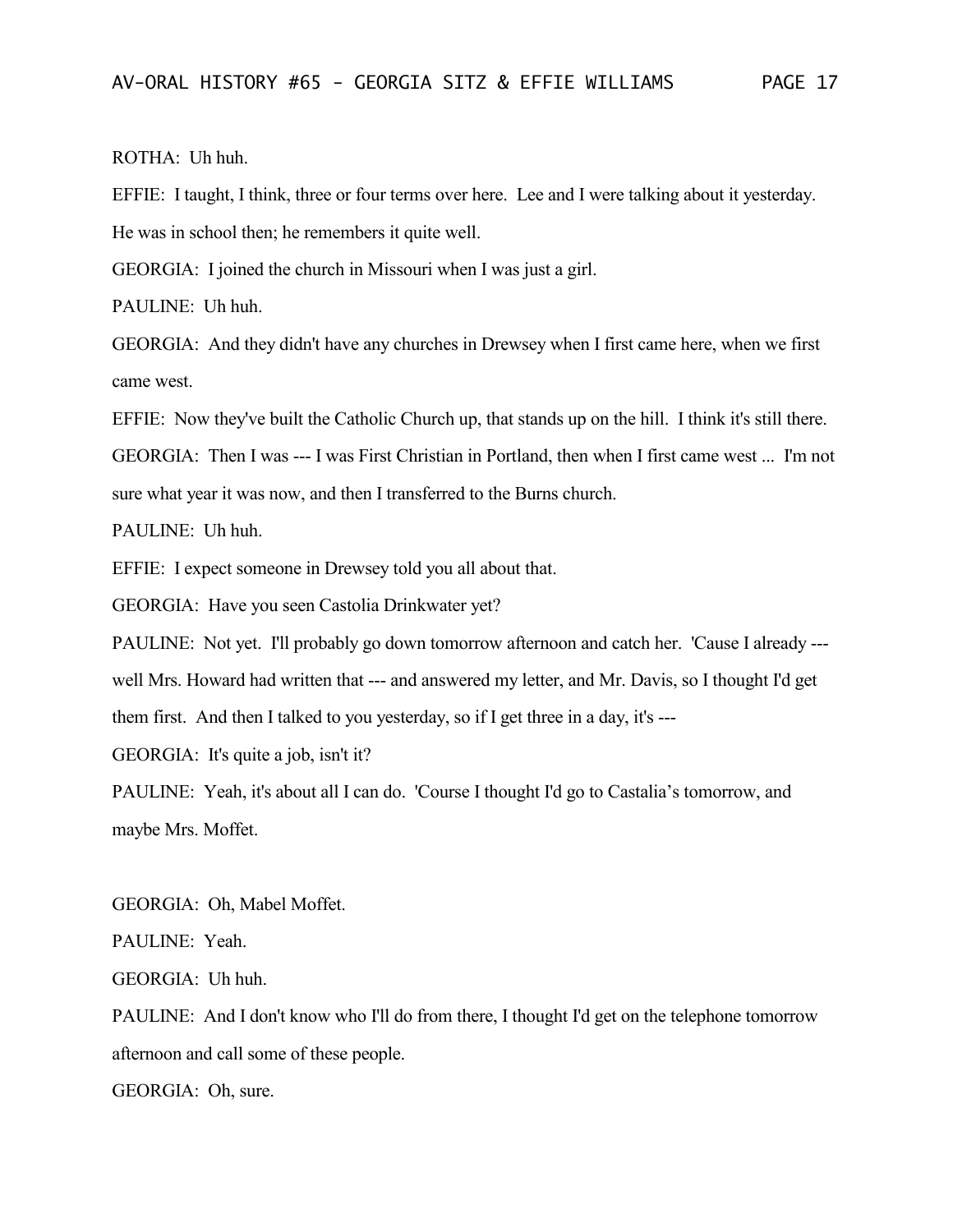ROTHA: Uh huh.

EFFIE: I taught, I think, three or four terms over here. Lee and I were talking about it yesterday. He was in school then; he remembers it quite well.

GEORGIA: I joined the church in Missouri when I was just a girl.

PAULINE: Uh huh.

GEORGIA: And they didn't have any churches in Drewsey when I first came here, when we first came west.

EFFIE: Now they've built the Catholic Church up, that stands up on the hill. I think it's still there.

GEORGIA: Then I was --- I was First Christian in Portland, then when I first came west ... I'm not sure what year it was now, and then I transferred to the Burns church.

PAULINE: Uh huh.

EFFIE: I expect someone in Drewsey told you all about that.

GEORGIA: Have you seen Castolia Drinkwater yet?

PAULINE: Not yet. I'll probably go down tomorrow afternoon and catch her. 'Cause I already --well Mrs. Howard had written that --- and answered my letter, and Mr. Davis, so I thought I'd get

them first. And then I talked to you yesterday, so if I get three in a day, it's ---

GEORGIA: It's quite a job, isn't it?

PAULINE: Yeah, it's about all I can do. 'Course I thought I'd go to Castalia's tomorrow, and maybe Mrs. Moffet.

GEORGIA: Oh, Mabel Moffet.

PAULINE: Yeah.

GEORGIA: Uh huh.

PAULINE: And I don't know who I'll do from there, I thought I'd get on the telephone tomorrow afternoon and call some of these people.

GEORGIA: Oh, sure.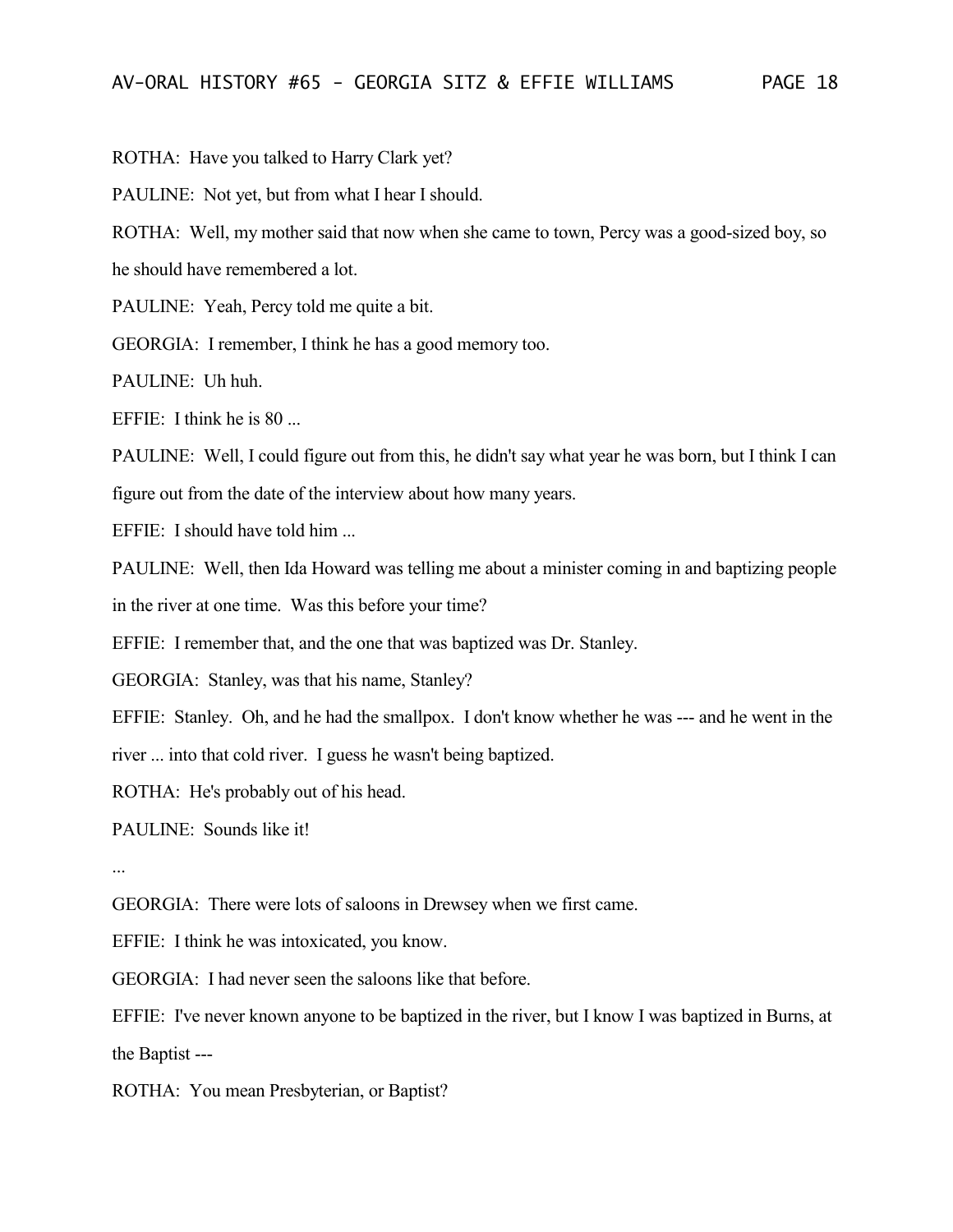ROTHA: Have you talked to Harry Clark yet?

PAULINE: Not yet, but from what I hear I should.

ROTHA: Well, my mother said that now when she came to town, Percy was a good-sized boy, so

he should have remembered a lot.

PAULINE: Yeah, Percy told me quite a bit.

GEORGIA: I remember, I think he has a good memory too.

PAULINE: Uh huh.

EFFIE: I think he is 80 ...

PAULINE: Well, I could figure out from this, he didn't say what year he was born, but I think I can figure out from the date of the interview about how many years.

EFFIE: I should have told him ...

PAULINE: Well, then Ida Howard was telling me about a minister coming in and baptizing people in the river at one time. Was this before your time?

EFFIE: I remember that, and the one that was baptized was Dr. Stanley.

GEORGIA: Stanley, was that his name, Stanley?

EFFIE: Stanley. Oh, and he had the smallpox. I don't know whether he was --- and he went in the

river ... into that cold river. I guess he wasn't being baptized.

ROTHA: He's probably out of his head.

PAULINE: Sounds like it!

...

GEORGIA: There were lots of saloons in Drewsey when we first came.

EFFIE: I think he was intoxicated, you know.

GEORGIA: I had never seen the saloons like that before.

EFFIE: I've never known anyone to be baptized in the river, but I know I was baptized in Burns, at the Baptist ---

ROTHA: You mean Presbyterian, or Baptist?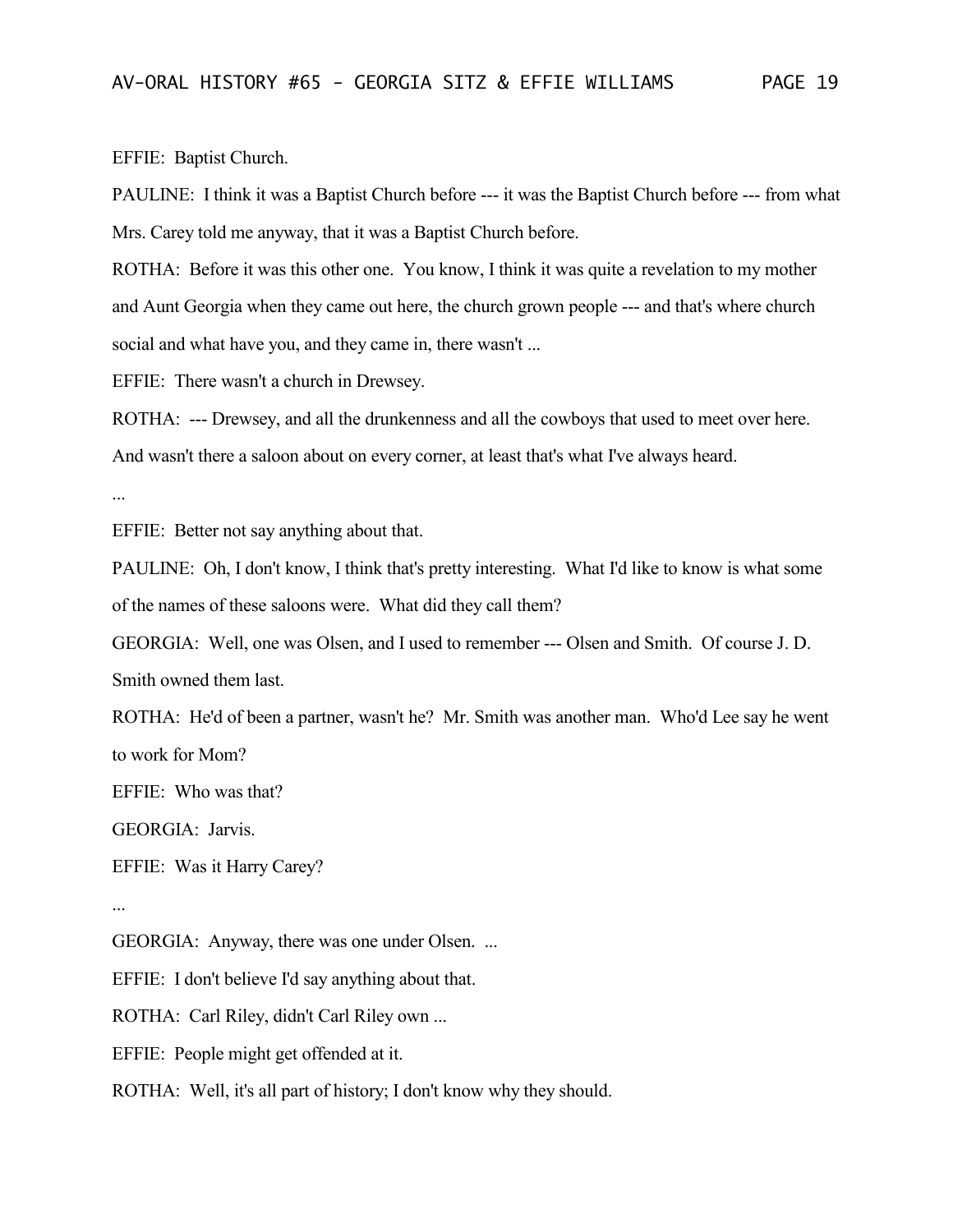EFFIE: Baptist Church.

PAULINE: I think it was a Baptist Church before --- it was the Baptist Church before --- from what Mrs. Carey told me anyway, that it was a Baptist Church before.

ROTHA: Before it was this other one. You know, I think it was quite a revelation to my mother and Aunt Georgia when they came out here, the church grown people --- and that's where church social and what have you, and they came in, there wasn't ...

EFFIE: There wasn't a church in Drewsey.

ROTHA: --- Drewsey, and all the drunkenness and all the cowboys that used to meet over here. And wasn't there a saloon about on every corner, at least that's what I've always heard.

...

EFFIE: Better not say anything about that.

PAULINE: Oh, I don't know, I think that's pretty interesting. What I'd like to know is what some of the names of these saloons were. What did they call them?

GEORGIA: Well, one was Olsen, and I used to remember --- Olsen and Smith. Of course J. D. Smith owned them last.

ROTHA: He'd of been a partner, wasn't he? Mr. Smith was another man. Who'd Lee say he went to work for Mom?

EFFIE: Who was that?

GEORGIA: Jarvis.

EFFIE: Was it Harry Carey?

...

GEORGIA: Anyway, there was one under Olsen. ...

EFFIE: I don't believe I'd say anything about that.

ROTHA: Carl Riley, didn't Carl Riley own ...

EFFIE: People might get offended at it.

ROTHA: Well, it's all part of history; I don't know why they should.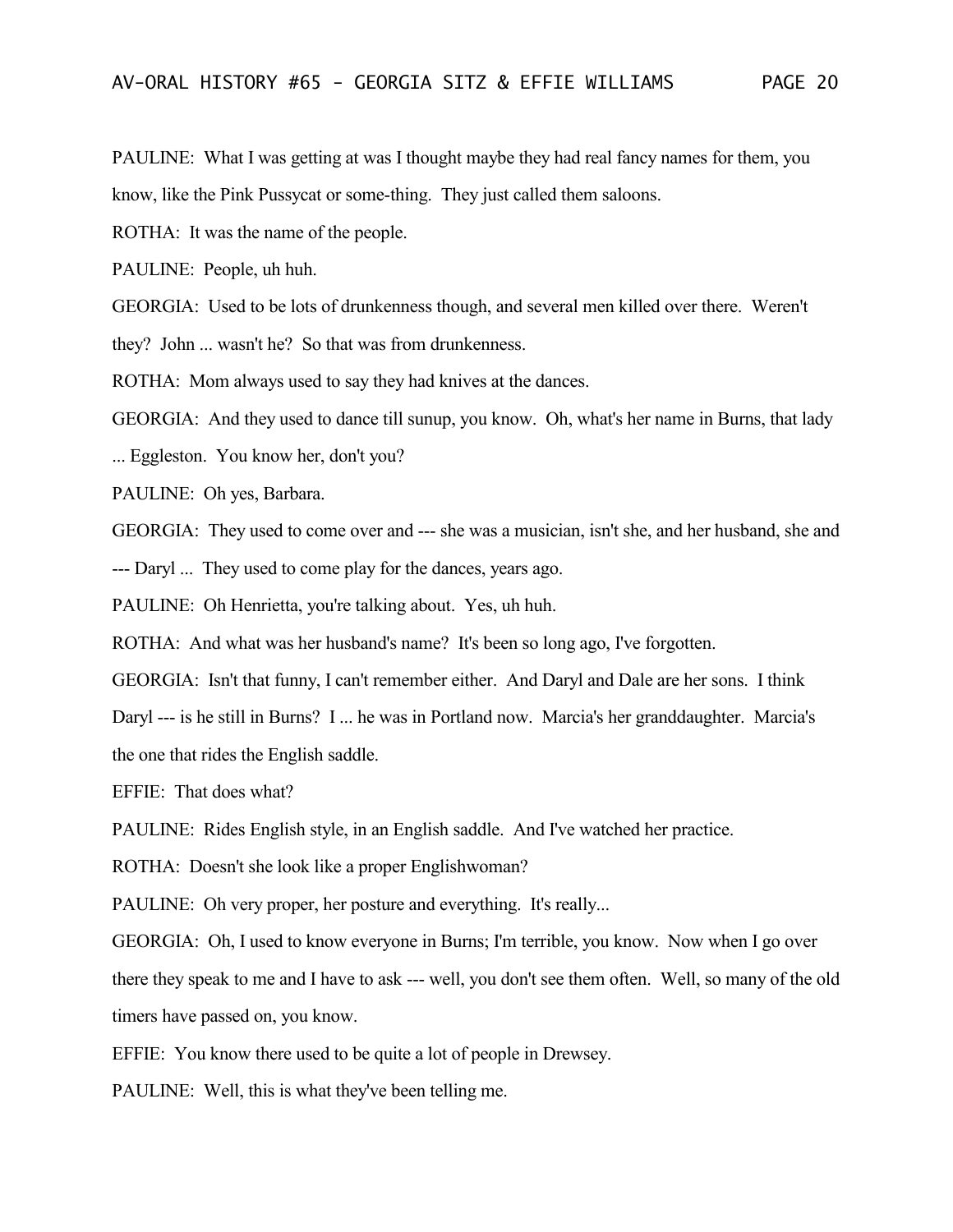PAULINE: What I was getting at was I thought maybe they had real fancy names for them, you know, like the Pink Pussycat or some-thing. They just called them saloons.

ROTHA: It was the name of the people.

PAULINE: People, uh huh.

GEORGIA: Used to be lots of drunkenness though, and several men killed over there. Weren't

they? John ... wasn't he? So that was from drunkenness.

ROTHA: Mom always used to say they had knives at the dances.

GEORGIA: And they used to dance till sunup, you know. Oh, what's her name in Burns, that lady

... Eggleston. You know her, don't you?

PAULINE: Oh yes, Barbara.

GEORGIA: They used to come over and --- she was a musician, isn't she, and her husband, she and

--- Daryl ... They used to come play for the dances, years ago.

PAULINE: Oh Henrietta, you're talking about. Yes, uh huh.

ROTHA: And what was her husband's name? It's been so long ago, I've forgotten.

GEORGIA: Isn't that funny, I can't remember either. And Daryl and Dale are her sons. I think Daryl --- is he still in Burns? I ... he was in Portland now. Marcia's her granddaughter. Marcia's the one that rides the English saddle.

EFFIE: That does what?

PAULINE: Rides English style, in an English saddle. And I've watched her practice.

ROTHA: Doesn't she look like a proper Englishwoman?

PAULINE: Oh very proper, her posture and everything. It's really...

GEORGIA: Oh, I used to know everyone in Burns; I'm terrible, you know. Now when I go over there they speak to me and I have to ask --- well, you don't see them often. Well, so many of the old timers have passed on, you know.

EFFIE: You know there used to be quite a lot of people in Drewsey.

PAULINE: Well, this is what they've been telling me.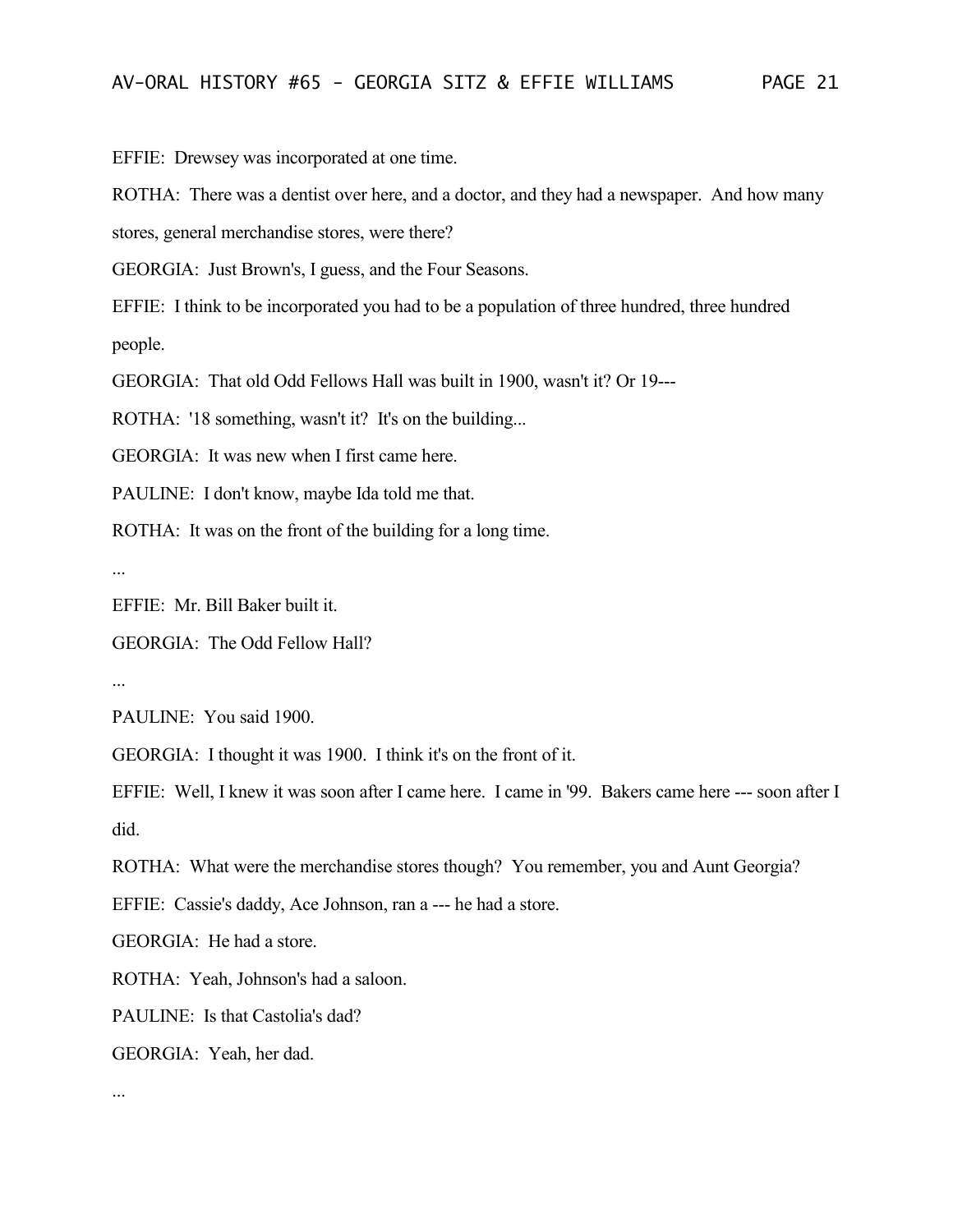EFFIE: Drewsey was incorporated at one time.

ROTHA: There was a dentist over here, and a doctor, and they had a newspaper. And how many

stores, general merchandise stores, were there?

GEORGIA: Just Brown's, I guess, and the Four Seasons.

EFFIE: I think to be incorporated you had to be a population of three hundred, three hundred people.

GEORGIA: That old Odd Fellows Hall was built in 1900, wasn't it? Or 19---

ROTHA: '18 something, wasn't it? It's on the building...

GEORGIA: It was new when I first came here.

PAULINE: I don't know, maybe Ida told me that.

ROTHA: It was on the front of the building for a long time.

...

EFFIE: Mr. Bill Baker built it.

GEORGIA: The Odd Fellow Hall?

...

PAULINE: You said 1900.

GEORGIA: I thought it was 1900. I think it's on the front of it.

EFFIE: Well, I knew it was soon after I came here. I came in '99. Bakers came here --- soon after I did.

ROTHA: What were the merchandise stores though? You remember, you and Aunt Georgia?

EFFIE: Cassie's daddy, Ace Johnson, ran a --- he had a store.

GEORGIA: He had a store.

ROTHA: Yeah, Johnson's had a saloon.

PAULINE: Is that Castolia's dad?

GEORGIA: Yeah, her dad.

...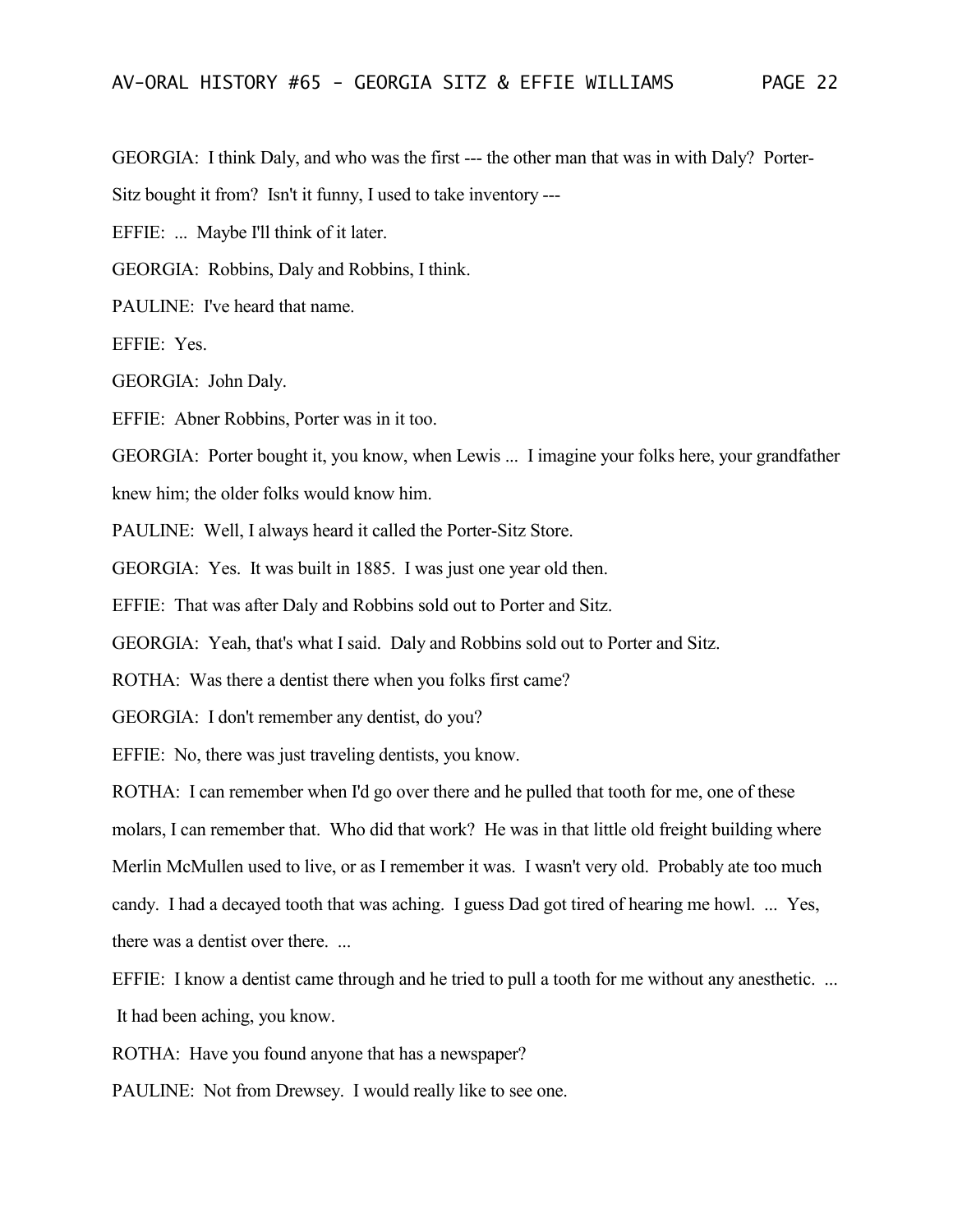GEORGIA: I think Daly, and who was the first --- the other man that was in with Daly? Porter-

Sitz bought it from? Isn't it funny, I used to take inventory ---

EFFIE: ... Maybe I'll think of it later.

GEORGIA: Robbins, Daly and Robbins, I think.

PAULINE: I've heard that name.

EFFIE: Yes.

GEORGIA: John Daly.

EFFIE: Abner Robbins, Porter was in it too.

GEORGIA: Porter bought it, you know, when Lewis ... I imagine your folks here, your grandfather

knew him; the older folks would know him.

PAULINE: Well, I always heard it called the Porter-Sitz Store.

GEORGIA: Yes. It was built in 1885. I was just one year old then.

EFFIE: That was after Daly and Robbins sold out to Porter and Sitz.

GEORGIA: Yeah, that's what I said. Daly and Robbins sold out to Porter and Sitz.

ROTHA: Was there a dentist there when you folks first came?

GEORGIA: I don't remember any dentist, do you?

EFFIE: No, there was just traveling dentists, you know.

ROTHA: I can remember when I'd go over there and he pulled that tooth for me, one of these

molars, I can remember that. Who did that work? He was in that little old freight building where

Merlin McMullen used to live, or as I remember it was. I wasn't very old. Probably ate too much candy. I had a decayed tooth that was aching. I guess Dad got tired of hearing me howl. ... Yes,

there was a dentist over there. ...

EFFIE: I know a dentist came through and he tried to pull a tooth for me without any anesthetic. ... It had been aching, you know.

ROTHA: Have you found anyone that has a newspaper?

PAULINE: Not from Drewsey. I would really like to see one.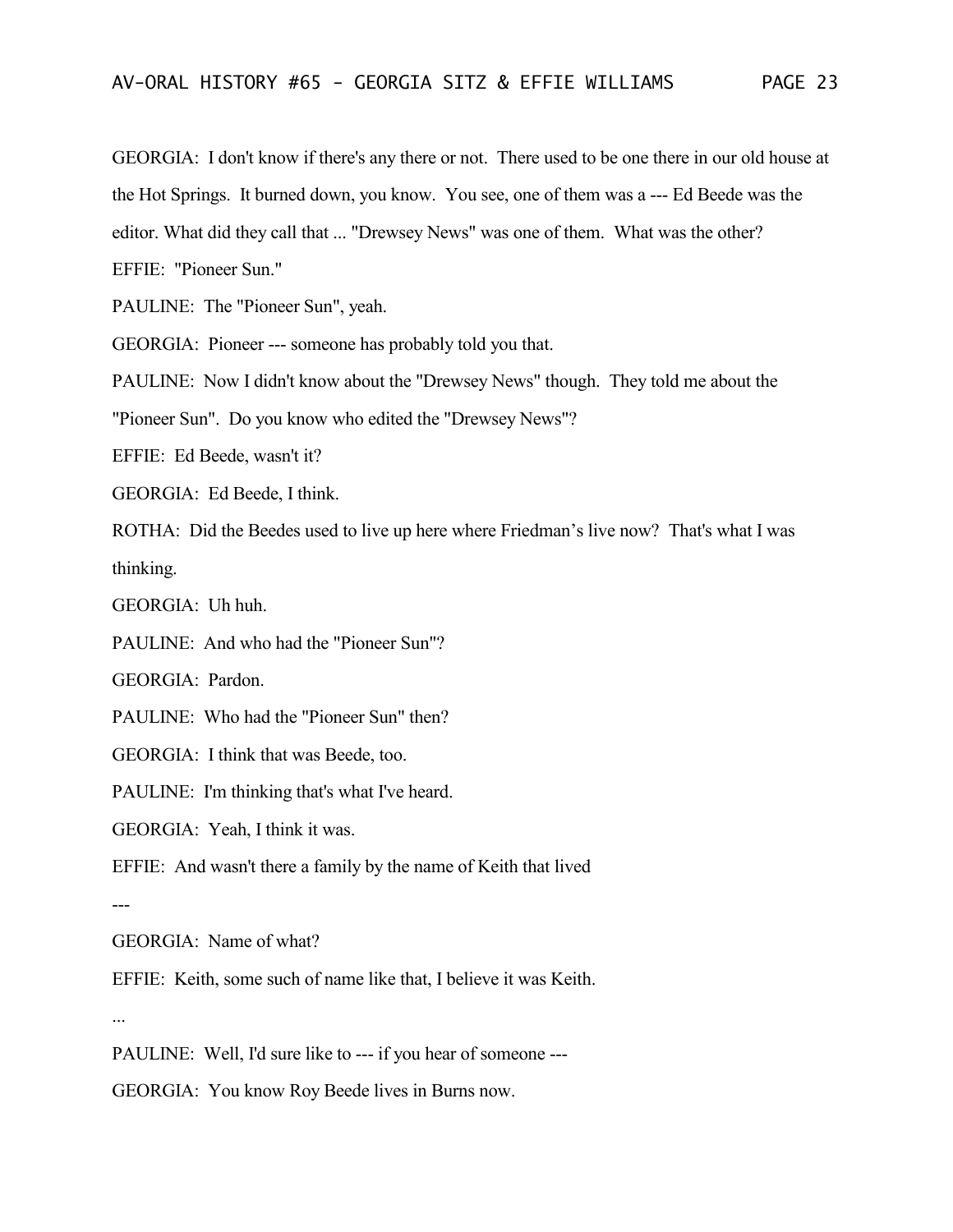GEORGIA: I don't know if there's any there or not. There used to be one there in our old house at the Hot Springs. It burned down, you know. You see, one of them was a --- Ed Beede was the editor. What did they call that ... "Drewsey News" was one of them. What was the other? EFFIE: "Pioneer Sun."

PAULINE: The "Pioneer Sun", yeah.

GEORGIA: Pioneer --- someone has probably told you that.

PAULINE: Now I didn't know about the "Drewsey News" though. They told me about the

"Pioneer Sun". Do you know who edited the "Drewsey News"?

EFFIE: Ed Beede, wasn't it?

GEORGIA: Ed Beede, I think.

ROTHA: Did the Beedes used to live up here where Friedman's live now? That's what I was thinking.

GEORGIA: Uh huh.

PAULINE: And who had the "Pioneer Sun"?

GEORGIA: Pardon.

PAULINE: Who had the "Pioneer Sun" then?

GEORGIA: I think that was Beede, too.

PAULINE: I'm thinking that's what I've heard.

GEORGIA: Yeah, I think it was.

EFFIE: And wasn't there a family by the name of Keith that lived

---

GEORGIA: Name of what?

EFFIE: Keith, some such of name like that, I believe it was Keith.

...

PAULINE: Well, I'd sure like to --- if you hear of someone ---

GEORGIA: You know Roy Beede lives in Burns now.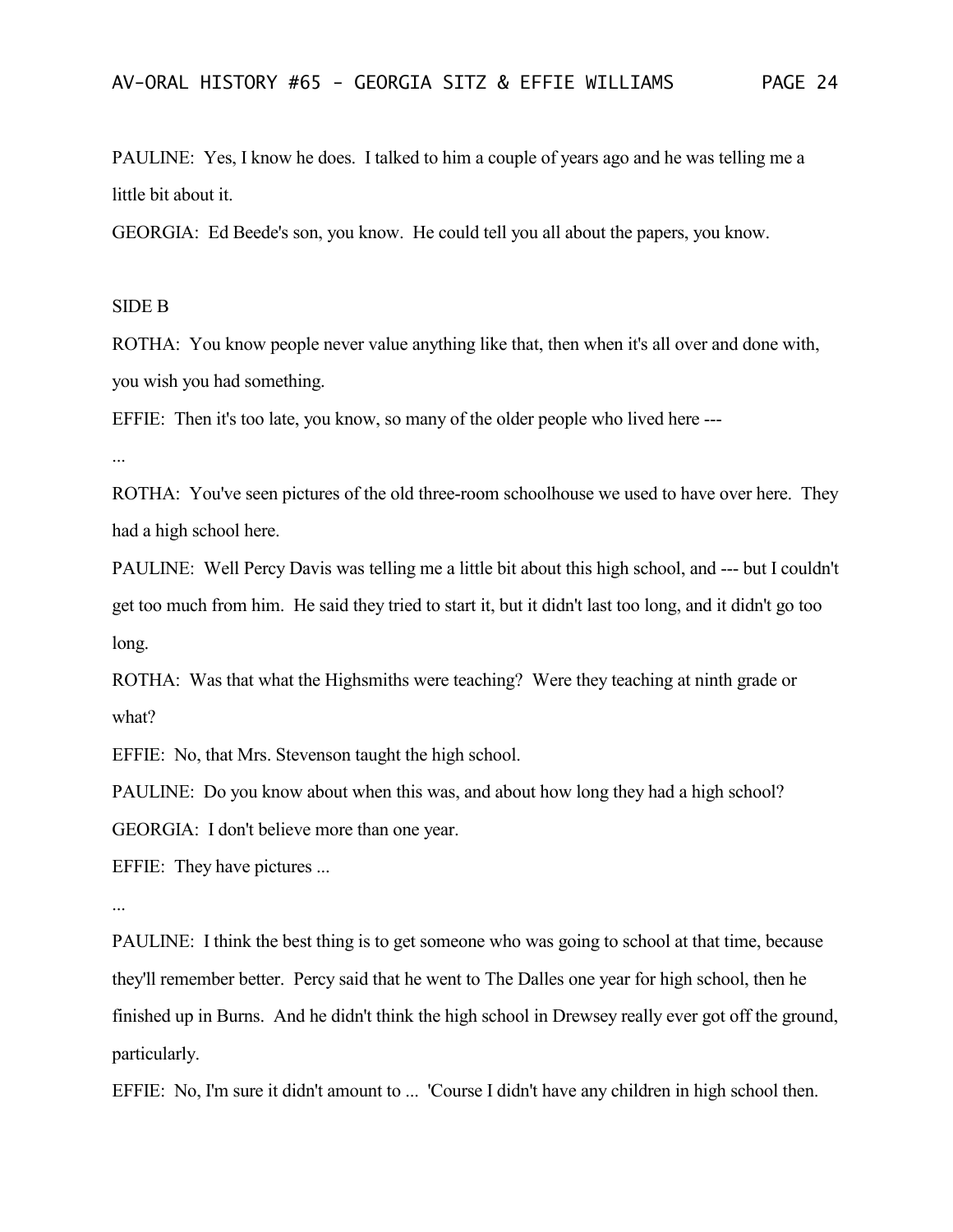PAULINE: Yes, I know he does. I talked to him a couple of years ago and he was telling me a little bit about it.

GEORGIA: Ed Beede's son, you know. He could tell you all about the papers, you know.

## SIDE B

ROTHA: You know people never value anything like that, then when it's all over and done with, you wish you had something.

EFFIE: Then it's too late, you know, so many of the older people who lived here ---

...

ROTHA: You've seen pictures of the old three-room schoolhouse we used to have over here. They had a high school here.

PAULINE: Well Percy Davis was telling me a little bit about this high school, and --- but I couldn't get too much from him. He said they tried to start it, but it didn't last too long, and it didn't go too long.

ROTHA: Was that what the Highsmiths were teaching? Were they teaching at ninth grade or what?

EFFIE: No, that Mrs. Stevenson taught the high school.

PAULINE: Do you know about when this was, and about how long they had a high school?

GEORGIA: I don't believe more than one year.

EFFIE: They have pictures ...

...

PAULINE: I think the best thing is to get someone who was going to school at that time, because they'll remember better. Percy said that he went to The Dalles one year for high school, then he finished up in Burns. And he didn't think the high school in Drewsey really ever got off the ground, particularly.

EFFIE: No, I'm sure it didn't amount to ... 'Course I didn't have any children in high school then.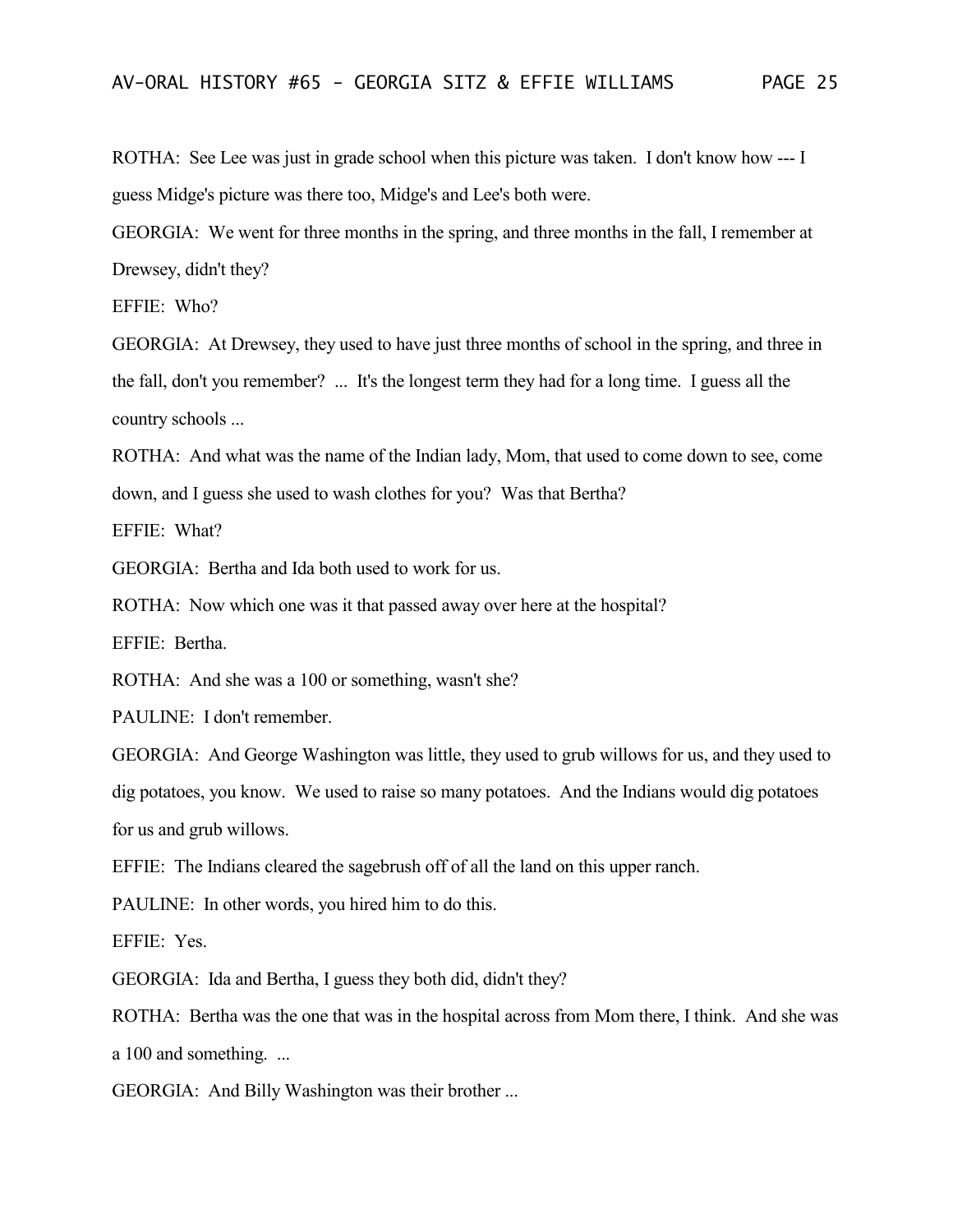ROTHA: See Lee was just in grade school when this picture was taken. I don't know how --- I guess Midge's picture was there too, Midge's and Lee's both were.

GEORGIA: We went for three months in the spring, and three months in the fall, I remember at Drewsey, didn't they?

EFFIE: Who?

GEORGIA: At Drewsey, they used to have just three months of school in the spring, and three in the fall, don't you remember? ... It's the longest term they had for a long time. I guess all the country schools ...

ROTHA: And what was the name of the Indian lady, Mom, that used to come down to see, come down, and I guess she used to wash clothes for you? Was that Bertha?

EFFIE: What?

GEORGIA: Bertha and Ida both used to work for us.

ROTHA: Now which one was it that passed away over here at the hospital?

EFFIE: Bertha.

ROTHA: And she was a 100 or something, wasn't she?

PAULINE: I don't remember.

GEORGIA: And George Washington was little, they used to grub willows for us, and they used to dig potatoes, you know. We used to raise so many potatoes. And the Indians would dig potatoes for us and grub willows.

EFFIE: The Indians cleared the sagebrush off of all the land on this upper ranch.

PAULINE: In other words, you hired him to do this.

EFFIE: Yes.

GEORGIA: Ida and Bertha, I guess they both did, didn't they?

ROTHA: Bertha was the one that was in the hospital across from Mom there, I think. And she was a 100 and something. ...

GEORGIA: And Billy Washington was their brother ...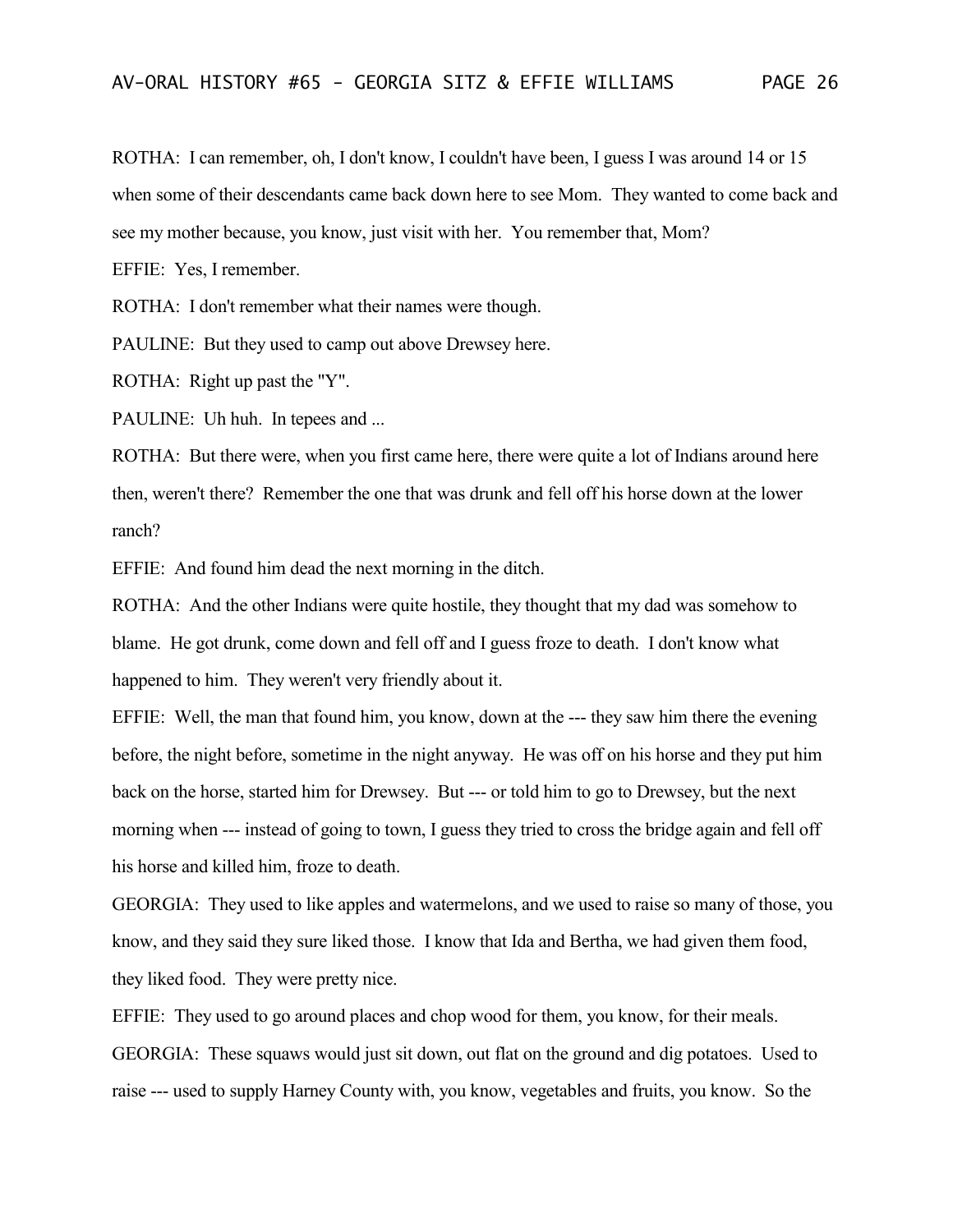ROTHA: I can remember, oh, I don't know, I couldn't have been, I guess I was around 14 or 15 when some of their descendants came back down here to see Mom. They wanted to come back and see my mother because, you know, just visit with her. You remember that, Mom?

EFFIE: Yes, I remember.

ROTHA: I don't remember what their names were though.

PAULINE: But they used to camp out above Drewsey here.

ROTHA: Right up past the "Y".

PAULINE: Uh huh. In tepees and ...

ROTHA: But there were, when you first came here, there were quite a lot of Indians around here then, weren't there? Remember the one that was drunk and fell off his horse down at the lower ranch?

EFFIE: And found him dead the next morning in the ditch.

ROTHA: And the other Indians were quite hostile, they thought that my dad was somehow to blame. He got drunk, come down and fell off and I guess froze to death. I don't know what happened to him. They weren't very friendly about it.

EFFIE: Well, the man that found him, you know, down at the --- they saw him there the evening before, the night before, sometime in the night anyway. He was off on his horse and they put him back on the horse, started him for Drewsey. But --- or told him to go to Drewsey, but the next morning when --- instead of going to town, I guess they tried to cross the bridge again and fell off his horse and killed him, froze to death.

GEORGIA: They used to like apples and watermelons, and we used to raise so many of those, you know, and they said they sure liked those. I know that Ida and Bertha, we had given them food, they liked food. They were pretty nice.

EFFIE: They used to go around places and chop wood for them, you know, for their meals. GEORGIA: These squaws would just sit down, out flat on the ground and dig potatoes. Used to raise --- used to supply Harney County with, you know, vegetables and fruits, you know. So the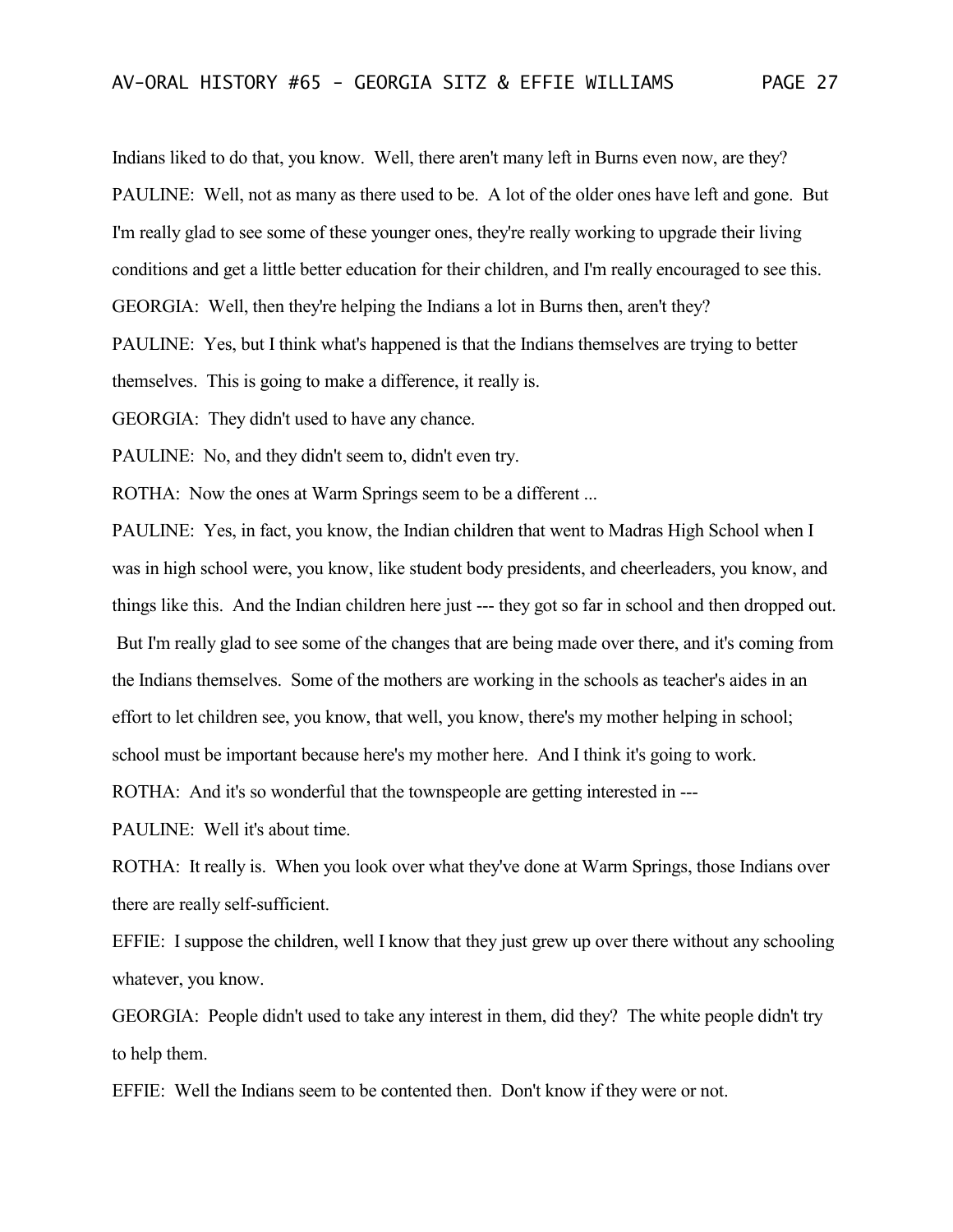Indians liked to do that, you know. Well, there aren't many left in Burns even now, are they? PAULINE: Well, not as many as there used to be. A lot of the older ones have left and gone. But I'm really glad to see some of these younger ones, they're really working to upgrade their living conditions and get a little better education for their children, and I'm really encouraged to see this. GEORGIA: Well, then they're helping the Indians a lot in Burns then, aren't they?

PAULINE: Yes, but I think what's happened is that the Indians themselves are trying to better themselves. This is going to make a difference, it really is.

GEORGIA: They didn't used to have any chance.

PAULINE: No, and they didn't seem to, didn't even try.

ROTHA: Now the ones at Warm Springs seem to be a different ...

PAULINE: Yes, in fact, you know, the Indian children that went to Madras High School when I was in high school were, you know, like student body presidents, and cheerleaders, you know, and things like this. And the Indian children here just --- they got so far in school and then dropped out. But I'm really glad to see some of the changes that are being made over there, and it's coming from the Indians themselves. Some of the mothers are working in the schools as teacher's aides in an effort to let children see, you know, that well, you know, there's my mother helping in school; school must be important because here's my mother here. And I think it's going to work.

ROTHA: And it's so wonderful that the townspeople are getting interested in ---

PAULINE: Well it's about time.

ROTHA: It really is. When you look over what they've done at Warm Springs, those Indians over there are really self-sufficient.

EFFIE: I suppose the children, well I know that they just grew up over there without any schooling whatever, you know.

GEORGIA: People didn't used to take any interest in them, did they? The white people didn't try to help them.

EFFIE: Well the Indians seem to be contented then. Don't know if they were or not.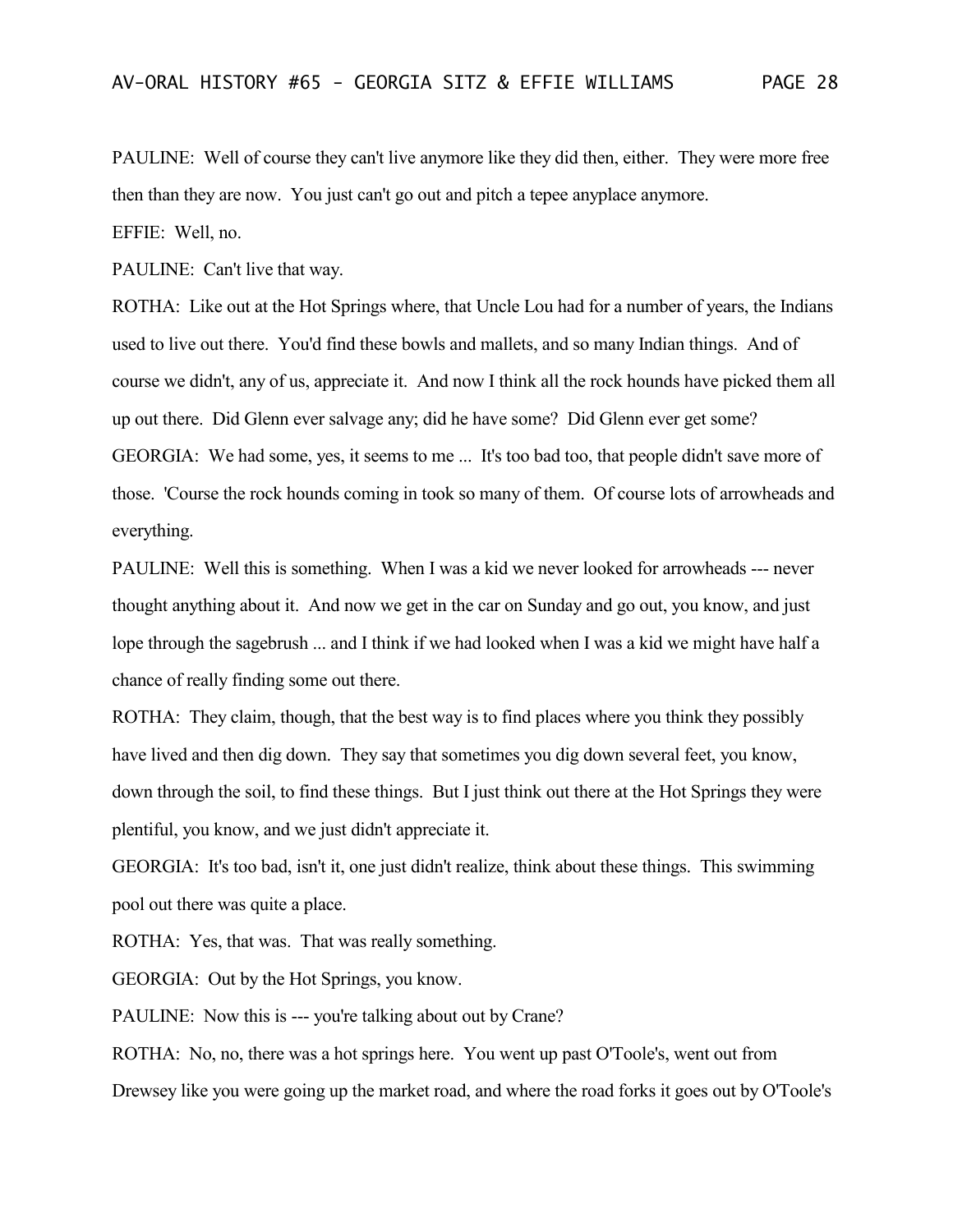PAULINE: Well of course they can't live anymore like they did then, either. They were more free then than they are now. You just can't go out and pitch a tepee anyplace anymore.

EFFIE: Well, no.

PAULINE: Can't live that way.

ROTHA: Like out at the Hot Springs where, that Uncle Lou had for a number of years, the Indians used to live out there. You'd find these bowls and mallets, and so many Indian things. And of course we didn't, any of us, appreciate it. And now I think all the rock hounds have picked them all up out there. Did Glenn ever salvage any; did he have some? Did Glenn ever get some? GEORGIA: We had some, yes, it seems to me ... It's too bad too, that people didn't save more of those. 'Course the rock hounds coming in took so many of them. Of course lots of arrowheads and everything.

PAULINE: Well this is something. When I was a kid we never looked for arrowheads --- never thought anything about it. And now we get in the car on Sunday and go out, you know, and just lope through the sagebrush ... and I think if we had looked when I was a kid we might have half a chance of really finding some out there.

ROTHA: They claim, though, that the best way is to find places where you think they possibly have lived and then dig down. They say that sometimes you dig down several feet, you know, down through the soil, to find these things. But I just think out there at the Hot Springs they were plentiful, you know, and we just didn't appreciate it.

GEORGIA: It's too bad, isn't it, one just didn't realize, think about these things. This swimming pool out there was quite a place.

ROTHA: Yes, that was. That was really something.

GEORGIA: Out by the Hot Springs, you know.

PAULINE: Now this is --- you're talking about out by Crane?

ROTHA: No, no, there was a hot springs here. You went up past O'Toole's, went out from Drewsey like you were going up the market road, and where the road forks it goes out by O'Toole's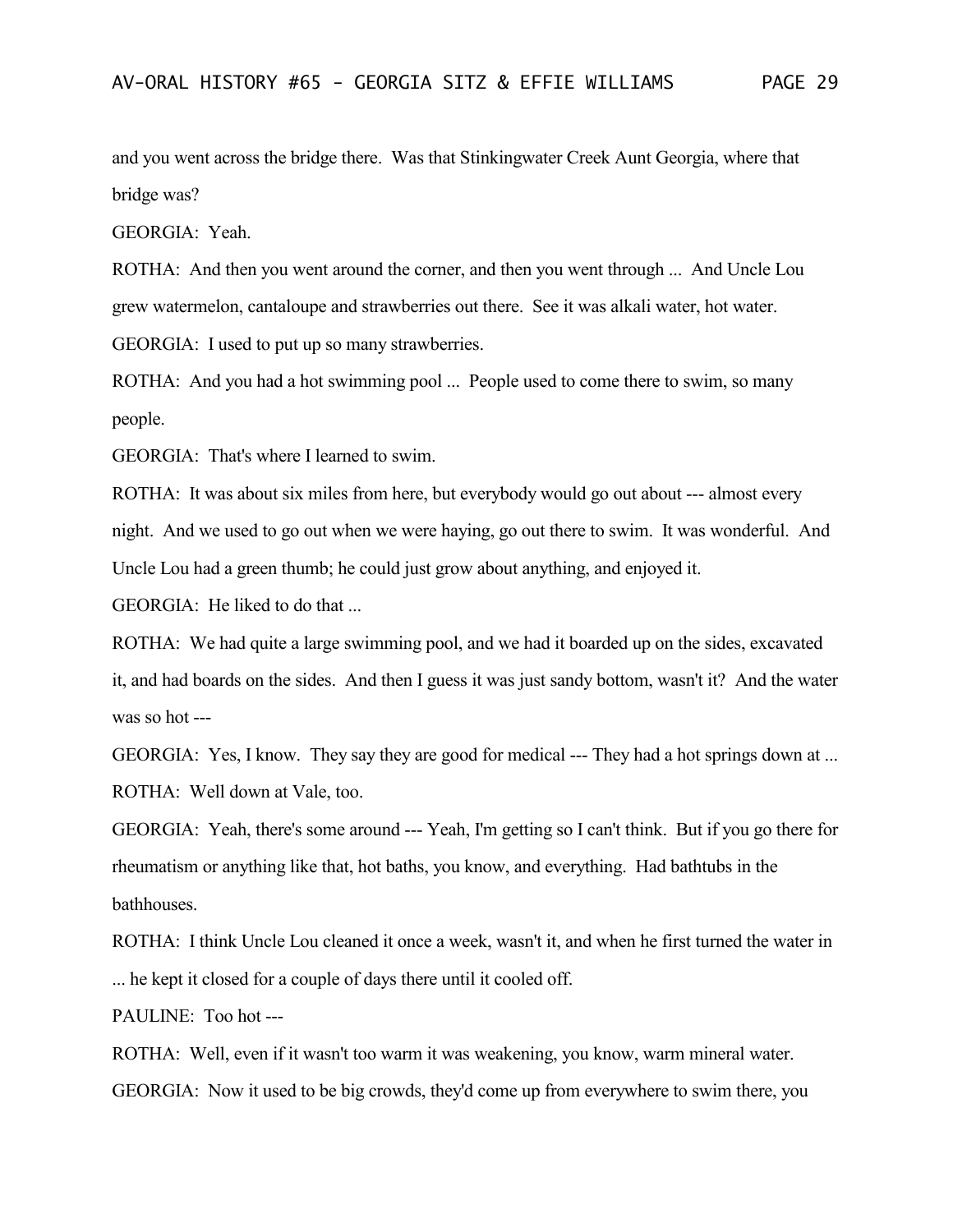and you went across the bridge there. Was that Stinkingwater Creek Aunt Georgia, where that bridge was?

GEORGIA: Yeah.

ROTHA: And then you went around the corner, and then you went through ... And Uncle Lou grew watermelon, cantaloupe and strawberries out there. See it was alkali water, hot water. GEORGIA: I used to put up so many strawberries.

ROTHA: And you had a hot swimming pool ... People used to come there to swim, so many people.

GEORGIA: That's where I learned to swim.

ROTHA: It was about six miles from here, but everybody would go out about --- almost every night. And we used to go out when we were haying, go out there to swim. It was wonderful. And Uncle Lou had a green thumb; he could just grow about anything, and enjoyed it.

GEORGIA: He liked to do that ...

ROTHA: We had quite a large swimming pool, and we had it boarded up on the sides, excavated it, and had boards on the sides. And then I guess it was just sandy bottom, wasn't it? And the water was so hot ---

GEORGIA: Yes, I know. They say they are good for medical --- They had a hot springs down at ... ROTHA: Well down at Vale, too.

GEORGIA: Yeah, there's some around --- Yeah, I'm getting so I can't think. But if you go there for rheumatism or anything like that, hot baths, you know, and everything. Had bathtubs in the **bathhouses** 

ROTHA: I think Uncle Lou cleaned it once a week, wasn't it, and when he first turned the water in ... he kept it closed for a couple of days there until it cooled off.

PAULINE: Too hot ---

ROTHA: Well, even if it wasn't too warm it was weakening, you know, warm mineral water. GEORGIA: Now it used to be big crowds, they'd come up from everywhere to swim there, you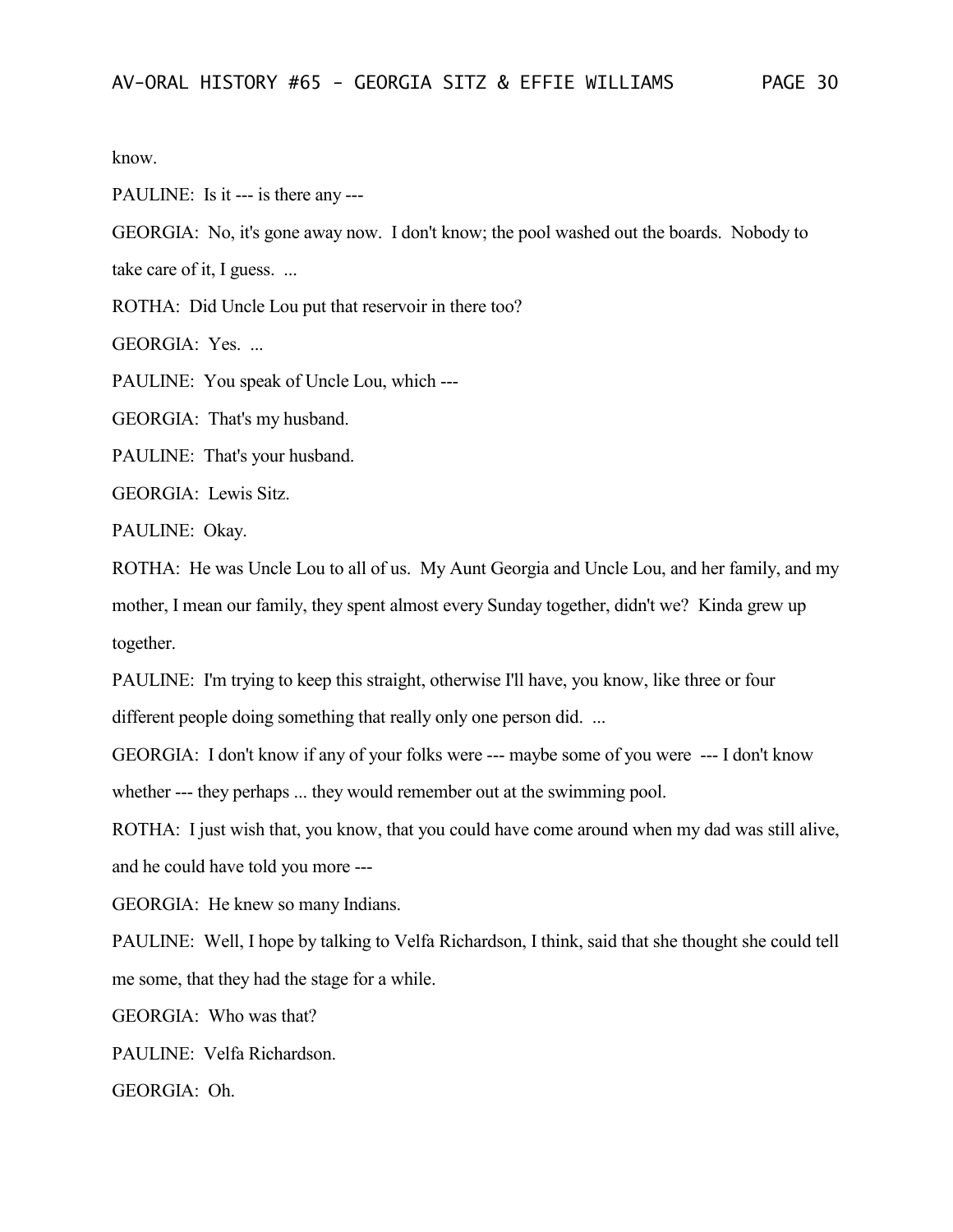know.

PAULINE: Is it --- is there any ---

GEORGIA: No, it's gone away now. I don't know; the pool washed out the boards. Nobody to take care of it, I guess. ...

ROTHA: Did Uncle Lou put that reservoir in there too?

GEORGIA: Yes. ...

PAULINE: You speak of Uncle Lou, which ---

GEORGIA: That's my husband.

PAULINE: That's your husband.

GEORGIA: Lewis Sitz.

PAULINE: Okay.

ROTHA: He was Uncle Lou to all of us. My Aunt Georgia and Uncle Lou, and her family, and my mother, I mean our family, they spent almost every Sunday together, didn't we? Kinda grew up together.

PAULINE: I'm trying to keep this straight, otherwise I'll have, you know, like three or four different people doing something that really only one person did. ...

GEORGIA: I don't know if any of your folks were --- maybe some of you were --- I don't know whether --- they perhaps ... they would remember out at the swimming pool.

ROTHA: I just wish that, you know, that you could have come around when my dad was still alive, and he could have told you more ---

GEORGIA: He knew so many Indians.

PAULINE: Well, I hope by talking to Velfa Richardson, I think, said that she thought she could tell me some, that they had the stage for a while.

GEORGIA: Who was that?

PAULINE: Velfa Richardson.

GEORGIA: Oh.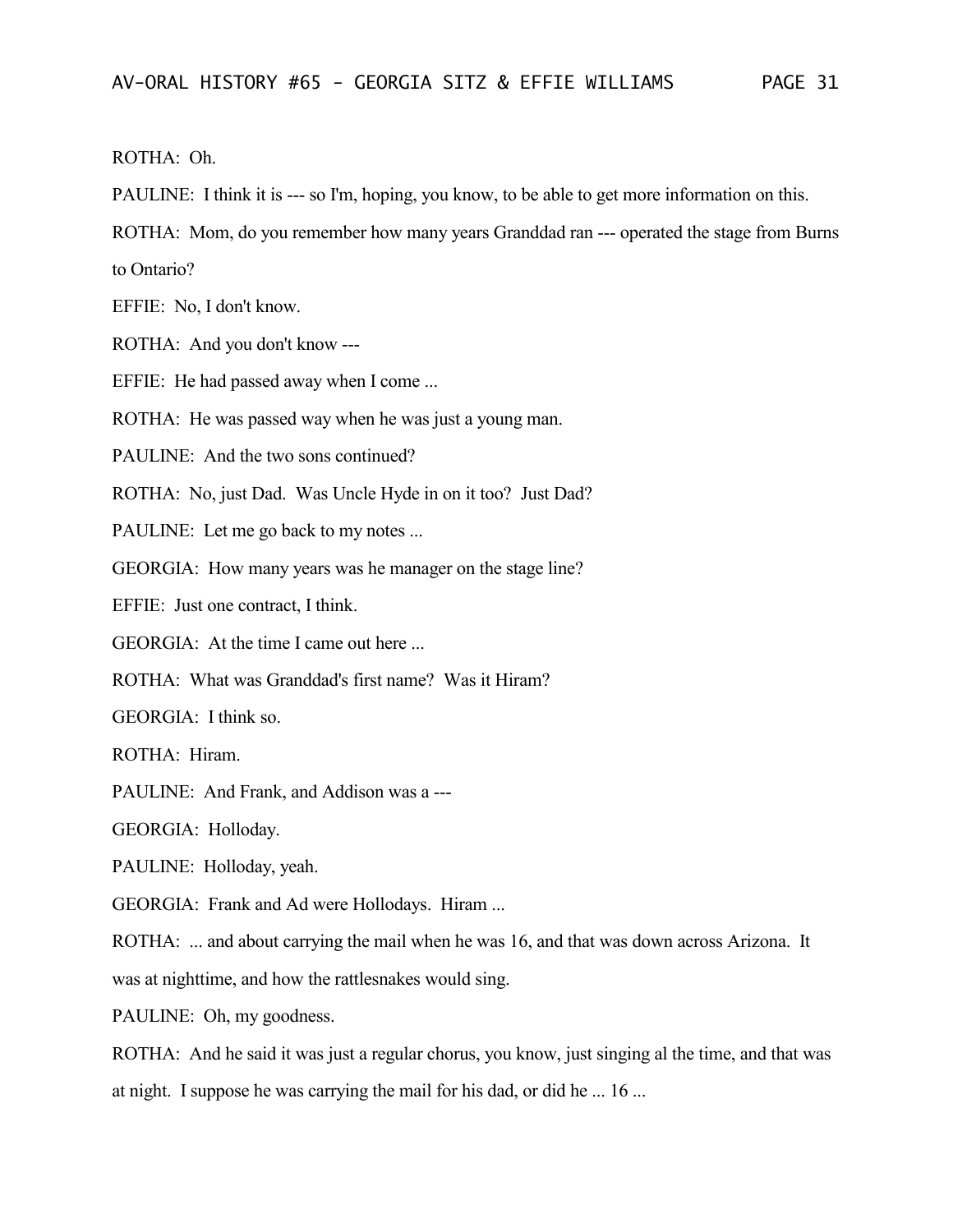## ROTHA: Oh.

PAULINE: I think it is --- so I'm, hoping, you know, to be able to get more information on this.

ROTHA: Mom, do you remember how many years Granddad ran --- operated the stage from Burns

to Ontario?

EFFIE: No, I don't know.

ROTHA: And you don't know ---

EFFIE: He had passed away when I come ...

ROTHA: He was passed way when he was just a young man.

PAULINE: And the two sons continued?

ROTHA: No, just Dad. Was Uncle Hyde in on it too? Just Dad?

PAULINE: Let me go back to my notes ...

GEORGIA: How many years was he manager on the stage line?

EFFIE: Just one contract, I think.

GEORGIA: At the time I came out here ...

ROTHA: What was Granddad's first name? Was it Hiram?

GEORGIA: I think so.

ROTHA: Hiram.

PAULINE: And Frank, and Addison was a ---

GEORGIA: Holloday.

PAULINE: Holloday, yeah.

GEORGIA: Frank and Ad were Hollodays. Hiram ...

ROTHA: ... and about carrying the mail when he was 16, and that was down across Arizona. It

was at nighttime, and how the rattlesnakes would sing.

PAULINE: Oh, my goodness.

ROTHA: And he said it was just a regular chorus, you know, just singing al the time, and that was at night. I suppose he was carrying the mail for his dad, or did he ... 16 ...